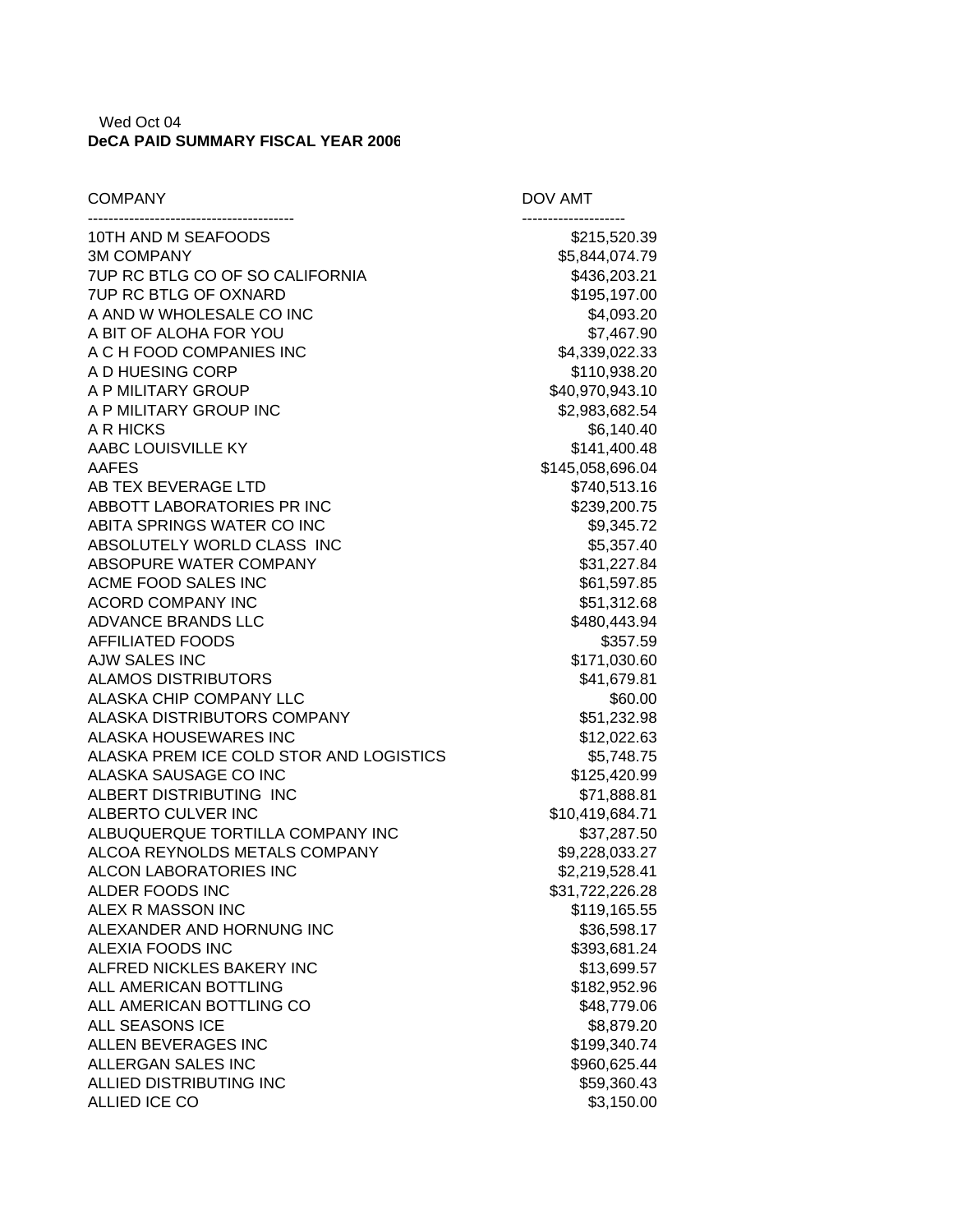## Wed Oct 04 **DeCA PAID SUMMARY FISCAL YEAR 2006**

| <b>COMPANY</b>                                 | DOV AMT                     |
|------------------------------------------------|-----------------------------|
| 10TH AND M SEAFOODS                            | \$215,520.39                |
| <b>3M COMPANY</b>                              | \$5,844,074.79              |
| 7UP RC BTLG CO OF SO CALIFORNIA                | \$436,203.21                |
| <b>7UP RC BTLG OF OXNARD</b>                   | \$195,197.00                |
| A AND W WHOLESALE CO INC                       | \$4,093.20                  |
| A BIT OF ALOHA FOR YOU                         | \$7,467.90                  |
| A C H FOOD COMPANIES INC                       | \$4,339,022.33              |
| A D HUESING CORP                               | \$110,938.20                |
| A P MILITARY GROUP                             | \$40,970,943.10             |
| A P MILITARY GROUP INC                         | \$2,983,682.54              |
| A R HICKS                                      | \$6,140.40                  |
| AABC LOUISVILLE KY                             | \$141,400.48                |
| AAFES                                          | \$145,058,696.04            |
| AB TEX BEVERAGE LTD                            | \$740,513.16                |
| ABBOTT LABORATORIES PR INC                     | \$239,200.75                |
| ABITA SPRINGS WATER CO INC                     | \$9,345.72                  |
| ABSOLUTELY WORLD CLASS INC                     | \$5,357.40                  |
| ABSOPURE WATER COMPANY                         | \$31,227.84                 |
| ACME FOOD SALES INC                            | \$61,597.85                 |
| <b>ACORD COMPANY INC</b>                       | \$51,312.68                 |
| ADVANCE BRANDS LLC                             | \$480,443.94                |
| AFFILIATED FOODS                               | \$357.59                    |
| <b>AJW SALES INC</b>                           | \$171,030.60                |
| <b>ALAMOS DISTRIBUTORS</b>                     | \$41,679.81                 |
| ALASKA CHIP COMPANY LLC                        | \$60.00                     |
| ALASKA DISTRIBUTORS COMPANY                    | \$51,232.98                 |
| ALASKA HOUSEWARES INC                          | \$12,022.63                 |
| ALASKA PREM ICE COLD STOR AND LOGISTICS        | \$5,748.75                  |
| ALASKA SAUSAGE CO INC                          | \$125,420.99                |
| ALBERT DISTRIBUTING INC                        | \$71,888.81                 |
| ALBERTO CULVER INC                             | \$10,419,684.71             |
| ALBUQUERQUE TORTILLA COMPANY INC               | \$37,287.50                 |
| ALCOA REYNOLDS METALS COMPANY                  | \$9,228,033.27              |
| ALCON LABORATORIES INC                         | \$2,219,528.41              |
| ALDER FOODS INC                                | \$31,722,226.28             |
| ALEX R MASSON INC<br>ALEXANDER AND HORNUNG INC | \$119,165.55                |
|                                                | \$36,598.17                 |
| ALEXIA FOODS INC<br>ALFRED NICKLES BAKERY INC  | \$393,681.24                |
| ALL AMERICAN BOTTLING                          | \$13,699.57<br>\$182,952.96 |
| ALL AMERICAN BOTTLING CO                       | \$48,779.06                 |
| ALL SEASONS ICE                                | \$8,879.20                  |
| ALLEN BEVERAGES INC                            | \$199,340.74                |
| ALLERGAN SALES INC                             | \$960,625.44                |
| ALLIED DISTRIBUTING INC                        | \$59,360.43                 |
| ALLIED ICE CO                                  | \$3,150.00                  |
|                                                |                             |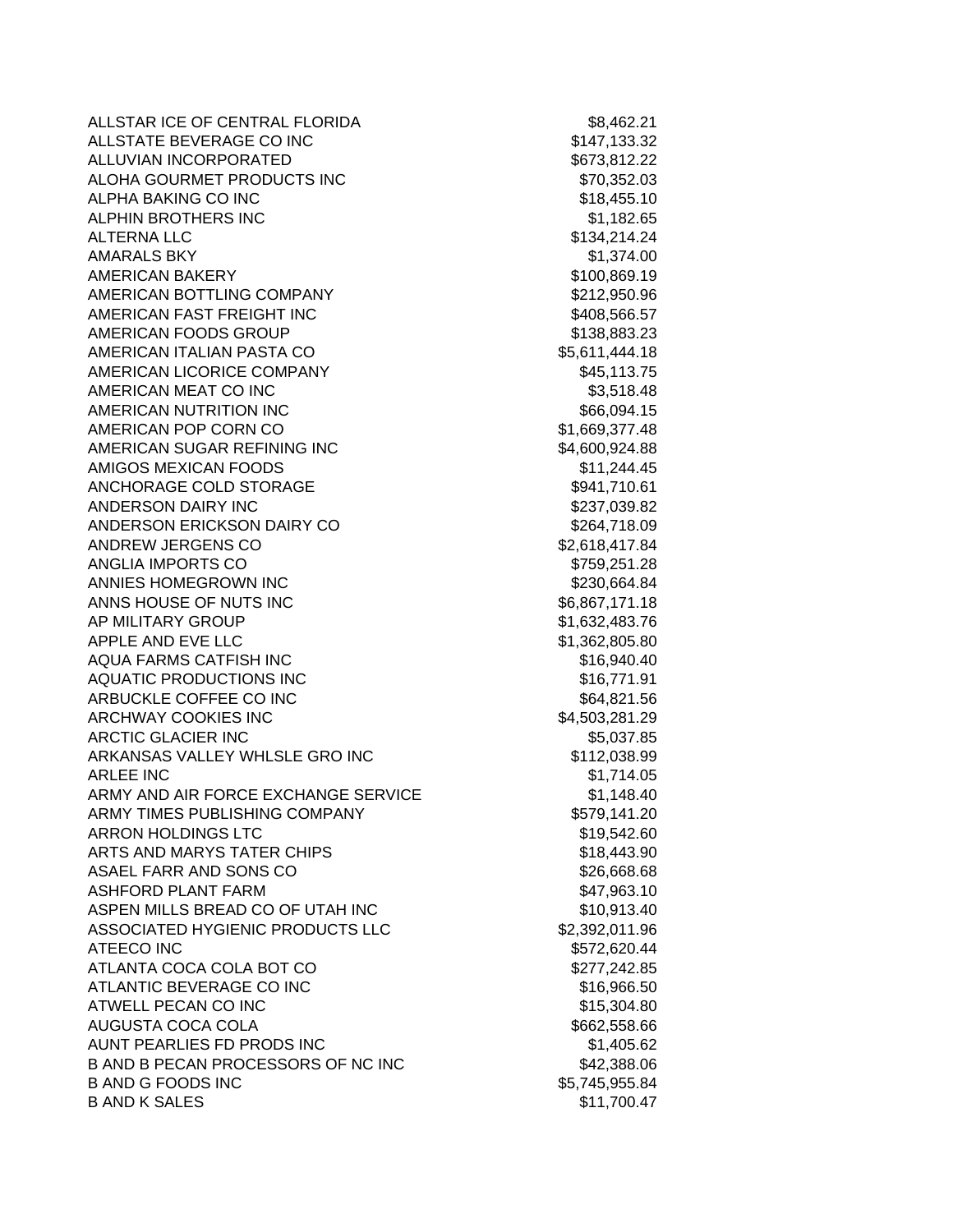ALLSTAR ICE OF CENTRAL FLORIDA 68,462.21 ALLSTATE BEVERAGE CO INC \$147,133.32 ALLUVIAN INCORPORATED **\$673,812.22** ALOHA GOURMET PRODUCTS INC \$70,352.03 ALPHA BAKING CO INC **\$18,455.10** \$18,455.10 ALPHIN BROTHERS INC **\$1,182.65** ALTERNA LLC \$134,214.24 AMARALS BKY \$1,374.00 AMERICAN BAKERY **\$100,869.19** \$100,869.19 AMERICAN BOTTLING COMPANY 6212,950.96 AMERICAN FAST FREIGHT INC **\$408,566.57** AMERICAN FOODS GROUP \$138,883.23 AMERICAN ITALIAN PASTA CO \$5,611,444.18 AMERICAN LICORICE COMPANY 645,113.75 AMERICAN MEAT CO INC 63,518.48 AMERICAN NUTRITION INC 666,094.15 AMERICAN POP CORN CO \$1,669,377.48 AMERICAN SUGAR REFINING INC \$4,600,924.88 AMIGOS MEXICAN FOODS \$11,244.45 ANCHORAGE COLD STORAGE **\$941,710.61** ANDERSON DAIRY INC **\$237,039.82** ANDERSON ERICKSON DAIRY CO \$264,718.09 ANDREW JERGENS CO \$2,618,417.84 ANGLIA IMPORTS CO **\$759,251.28** ANNIES HOMEGROWN INC \$230,664.84 ANNS HOUSE OF NUTS INC 66,867,171.18 AP MILITARY GROUP **\$1,632,483.76** APPLE AND EVE LLC \$1,362,805.80 AQUA FARMS CATFISH INC  $$16,940.40$ AQUATIC PRODUCTIONS INC **\$16,771.91** ARBUCKLE COFFEE CO INC **\$64,821.56** ARCHWAY COOKIES INC **\$4,503,281.29** ARCTIC GLACIER INC 65,037.85 ARKANSAS VALLEY WHLSLE GRO INC \$112,038.99 ARLEE INC \$1,714.05 ARMY AND AIR FORCE EXCHANGE SERVICE \$1,148.40 ARMY TIMES PUBLISHING COMPANY \$579,141.20 ARRON HOLDINGS LTC \$19,542.60 ARTS AND MARYS TATER CHIPS **\$18,443.90** ASAEL FARR AND SONS CO \$26,668.68 ASHFORD PLANT FARM  $$47,963.10$ ASPEN MILLS BREAD CO OF UTAH INC \$10,913.40 ASSOCIATED HYGIENIC PRODUCTS LLC \$2,392,011.96 ATEECO INC \$572,620.44 ATLANTA COCA COLA BOT CO \$277,242.85 ATLANTIC BEVERAGE CO INC \$16,966.50 ATWELL PECAN CO INC **ALCORAGE 2018 15,304.80** AUGUSTA COCA COLA **Example 20** and the set of the set of the set of the set of the set of the set of the set of the set of the set of the set of the set of the set of the set of the set of the set of the set of the set of AUNT PEARLIES FD PRODS INC<br>
\$1,405.62 B AND B PECAN PROCESSORS OF NC INC 642,388.06 B AND G FOODS INC \$5,745,955.84 B AND K SALES \$11,700.47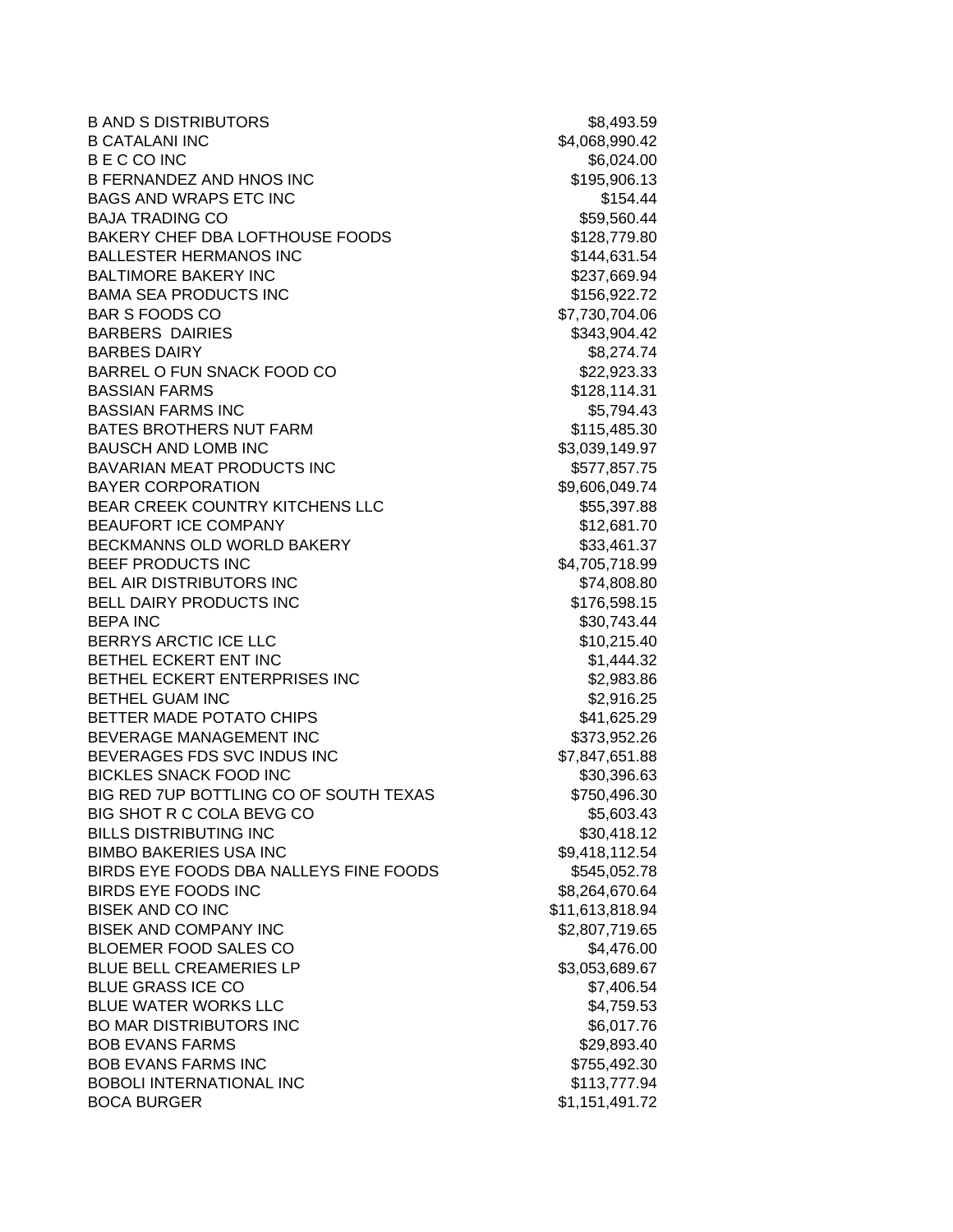B AND S DISTRIBUTORS \$8,493.59 B CATALANI INC 68,990.42 B E C CO INC \$6,024.00 B FERNANDEZ AND HNOS INC \$195,906.13 BAGS AND WRAPS ETC INC **\$154.44** BAJA TRADING CO **\$59,560.44** BAKERY CHEF DBA LOFTHOUSE FOODS \$128,779.80 BALLESTER HERMANOS INC<br>
\$144,631.54 BALTIMORE BAKERY INC **\$237,669.94** BAMA SEA PRODUCTS INC<br>
\$156,922.72 BAR S FOODS CO \$7,730,704.06 BARBERS DAIRIES **\$343,904.42** BARBES DAIRY **\$8,274.74** BARREL O FUN SNACK FOOD CO \$22,923.33 BASSIAN FARMS \$128,114.31 BASSIAN FARMS INC **\$5,794.43** BATES BROTHERS NUT FARM  $$115,485.30$ BAUSCH AND LOMB INC \$3,039,149.97 BAVARIAN MEAT PRODUCTS INC 6577,857.75 BAYER CORPORATION \$9,606,049.74 BEAR CREEK COUNTRY KITCHENS LLC \$55,397.88 BEAUFORT ICE COMPANY **\$12,681.70** BECKMANNS OLD WORLD BAKERY \$33,461.37 BEEF PRODUCTS INC 64,705,718.99 BEL AIR DISTRIBUTORS INC **\$74,808.80** BELL DAIRY PRODUCTS INC \$176,598.15 BEPA INC \$30,743.44 BERRYS ARCTIC ICE LLC \$10,215.40 BETHEL ECKERT ENT INC \$1,444.32 BETHEL ECKERT ENTERPRISES INC \$2,983.86 BETHEL GUAM INC 6. THE SERVICE SERVICE SERVICE SERVICE SERVICE SERVICE SERVICE SERVICE SERVICE SERVICE SERVICE BETTER MADE POTATO CHIPS **\$41,625.29** BEVERAGE MANAGEMENT INC<br>
\$373,952.26 BEVERAGES FDS SVC INDUS INC \$7,847,651.88 BICKLES SNACK FOOD INC \$30,396.63 BIG RED 7UP BOTTLING CO OF SOUTH TEXAS \$750,496.30 BIG SHOT R C COLA BEVG CO \$5,603.43 BILLS DISTRIBUTING INC \$30.418.12 BIMBO BAKERIES USA INC \$9,418,112.54 BIRDS EYE FOODS DBA NALLEYS FINE FOODS \$545,052.78 BIRDS EYE FOODS INC \$8,264,670.64 BISEK AND CO INC \$11,613,818.94 BISEK AND COMPANY INC \$2,807,719.65 BLOEMER FOOD SALES CO \$4,476.00 BLUE BELL CREAMERIES LP **SALUE BELL CREAMERIES** LP **SALUE BELL** CREAMERIES LP **SALUE BELL** BLUE GRASS ICE CO \$7,406.54 BLUE WATER WORKS LLC **And All Account Contract Contract Contract Contract Contract Contract Contract Contract Contract Contract Contract Contract Contract Contract Contract Contract Contract Contract Contract Contract Cont** BO MAR DISTRIBUTORS INC \$6,017.76 BOB EVANS FARMS **\$29,893.40** BOB EVANS FARMS INC **\$755,492.30** BOBOLI INTERNATIONAL INC \$113,777.94 BOCA BURGER \$1,151,491.72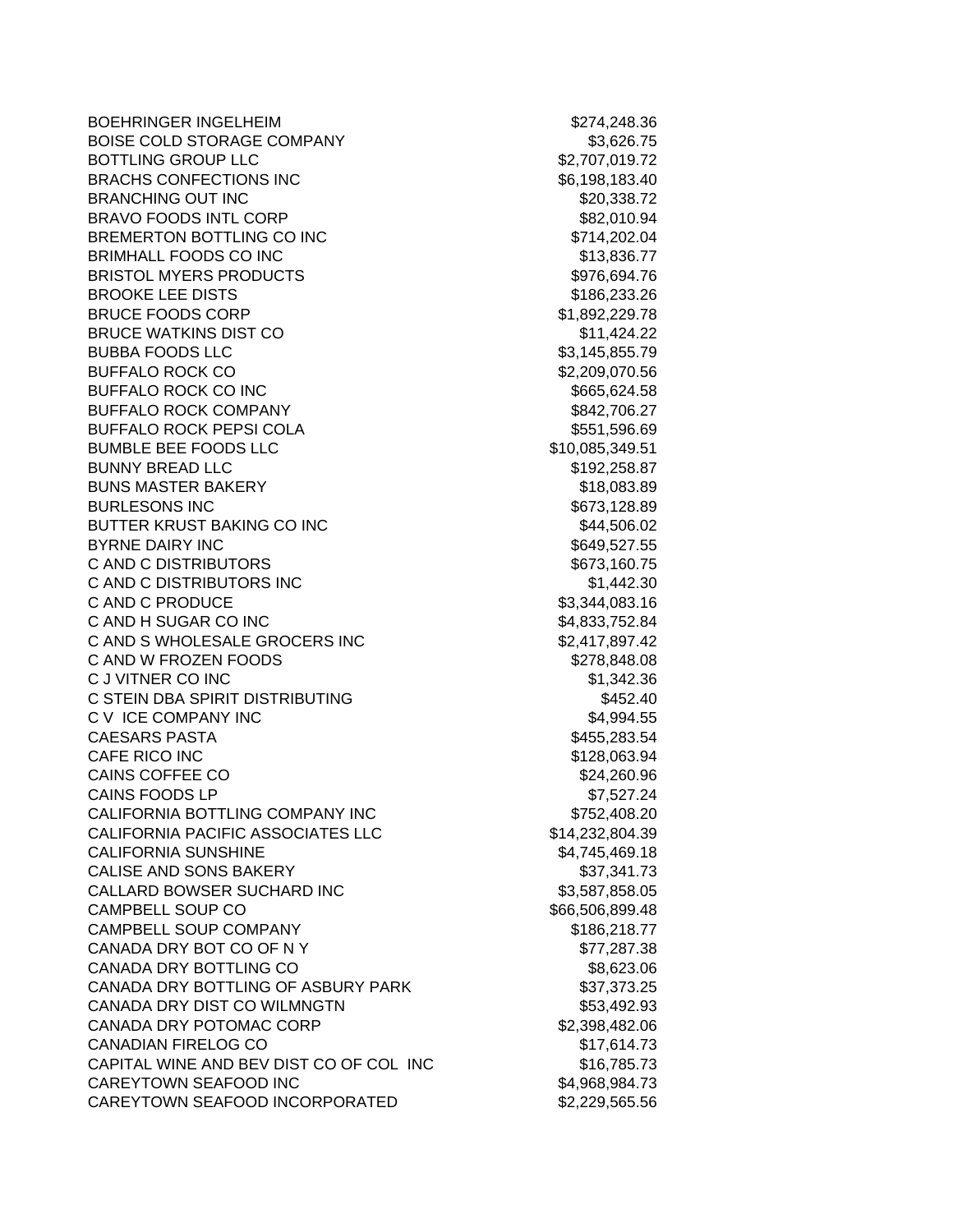BOEHRINGER INGELHEIM **\$274,248.36** BOISE COLD STORAGE COMPANY \$3,626.75 BOTTLING GROUP LLC 6. THE SECTION OF SALE SECTION AND SALE SECTION AND SALE SECTION AND SALE SECTION AND SALE S BRACHS CONFECTIONS INC \$6,198,183.40 BRANCHING OUT INC **\$20,338.72** BRAVO FOODS INTL CORP \$82,010.94 BREMERTON BOTTLING CO INC \$714,202.04 BRIMHALL FOODS CO INC \$13,836.77 BRISTOL MYERS PRODUCTS **\$976,694.76** BROOKE LEE DISTS **\$186,233.26** BRUCE FOODS CORP \$1,892,229.78 BRUCE WATKINS DIST CO \$11,424.22 BUBBA FOODS LLC \$3,145,855.79 BUFFALO ROCK CO **\$2,209,070.56** BUFFALO ROCK CO INC 6665,624.58 BUFFALO ROCK COMPANY **\$842,706.27** BUFFALO ROCK PEPSI COLA \$551,596.69 BUMBLE BEE FOODS LLC \$10,085,349.51 BUNNY BREAD LLC \$192,258.87 BUNS MASTER BAKERY \$18,083.89 BURLESONS INC \$673,128.89 BUTTER KRUST BAKING CO INC **\$44,506.02** BYRNE DAIRY INC \$649,527.55 C AND C DISTRIBUTORS \$673,160.75 C AND C DISTRIBUTORS INC \$1,442.30 C AND C PRODUCE \$3,344,083.16 C AND H SUGAR CO INC \$4,833,752.84 C AND S WHOLESALE GROCERS INC \$2,417,897.42 C AND W FROZEN FOODS \$278,848.08 C J VITNER CO INC 61,342.36 C STEIN DBA SPIRIT DISTRIBUTING **\$452.40** C V ICE COMPANY INC \$4,994.55 CAESARS PASTA \$455,283.54 CAFE RICO INC **6128,063.94** CAINS COFFEE CO \$24,260.96 CAINS FOODS LP \$7,527.24 CALIFORNIA BOTTLING COMPANY INC \$752,408.20 CALIFORNIA PACIFIC ASSOCIATES LLC \$14,232,804.39 CALIFORNIA SUNSHINE \$4,745,469.18 CALISE AND SONS BAKERY \$37,341.73 CALLARD BOWSER SUCHARD INC \$3,587,858.05 CAMPBELL SOUP CO **\$66,506,899.48** CAMPBELL SOUP COMPANY **\$186,218.77** CANADA DRY BOT CO OF N Y \$77,287.38 CANADA DRY BOTTLING CO \$8,623.06 CANADA DRY BOTTLING OF ASBURY PARK \$37,373.25 CANADA DRY DIST CO WILMNGTN **\$53,492.93** CANADA DRY POTOMAC CORP \$2,398,482.06 CANADIAN FIRELOG CO \$17,614.73 CAPITAL WINE AND BEV DIST CO OF COL INC 6765.73 CAREYTOWN SEAFOOD INC \$4,968,984.73 CAREYTOWN SEAFOOD INCORPORATED \$2,229,565.56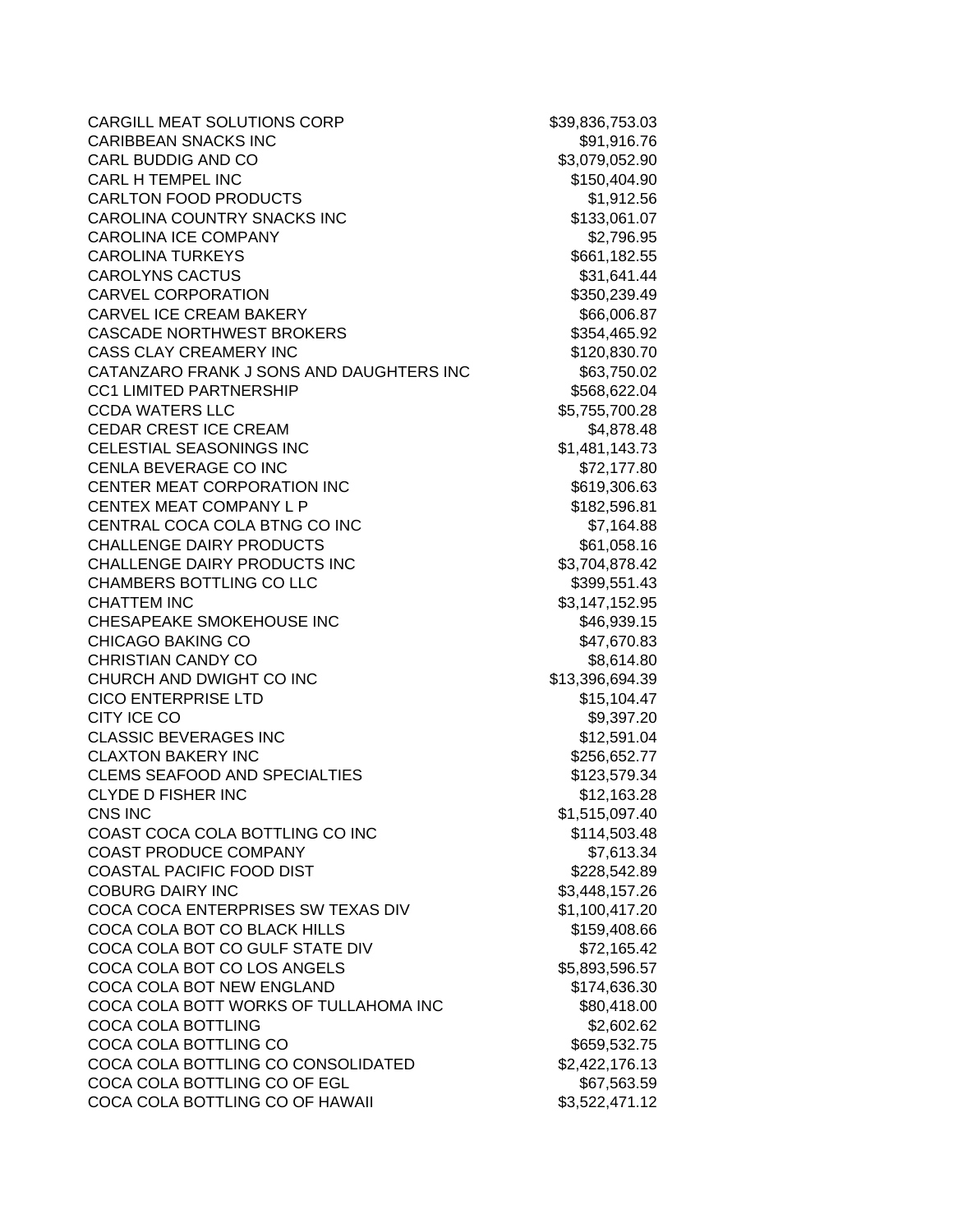| CARGILL MEAT SOLUTIONS CORP              | \$39,836,753.03 |
|------------------------------------------|-----------------|
| <b>CARIBBEAN SNACKS INC</b>              | \$91,916.76     |
| <b>CARL BUDDIG AND CO</b>                | \$3,079,052.90  |
| <b>CARL H TEMPEL INC</b>                 | \$150,404.90    |
| <b>CARLTON FOOD PRODUCTS</b>             | \$1,912.56      |
| CAROLINA COUNTRY SNACKS INC              | \$133,061.07    |
| <b>CAROLINA ICE COMPANY</b>              | \$2,796.95      |
| <b>CAROLINA TURKEYS</b>                  | \$661,182.55    |
| <b>CAROLYNS CACTUS</b>                   | \$31,641.44     |
| <b>CARVEL CORPORATION</b>                | \$350,239.49    |
| <b>CARVEL ICE CREAM BAKERY</b>           | \$66,006.87     |
| <b>CASCADE NORTHWEST BROKERS</b>         | \$354,465.92    |
| <b>CASS CLAY CREAMERY INC</b>            | \$120,830.70    |
| CATANZARO FRANK J SONS AND DAUGHTERS INC | \$63,750.02     |
| <b>CC1 LIMITED PARTNERSHIP</b>           | \$568,622.04    |
| <b>CCDA WATERS LLC</b>                   | \$5,755,700.28  |
| CEDAR CREST ICE CREAM                    | \$4,878.48      |
| <b>CELESTIAL SEASONINGS INC</b>          | \$1,481,143.73  |
| CENLA BEVERAGE CO INC                    | \$72,177.80     |
| <b>CENTER MEAT CORPORATION INC</b>       | \$619,306.63    |
| CENTEX MEAT COMPANY L P                  | \$182,596.81    |
| CENTRAL COCA COLA BTNG CO INC            | \$7,164.88      |
| <b>CHALLENGE DAIRY PRODUCTS</b>          | \$61,058.16     |
| CHALLENGE DAIRY PRODUCTS INC             | \$3,704,878.42  |
| CHAMBERS BOTTLING CO LLC                 | \$399,551.43    |
| <b>CHATTEM INC</b>                       | \$3,147,152.95  |
| CHESAPEAKE SMOKEHOUSE INC                | \$46,939.15     |
| <b>CHICAGO BAKING CO</b>                 | \$47,670.83     |
| <b>CHRISTIAN CANDY CO</b>                | \$8,614.80      |
| CHURCH AND DWIGHT CO INC                 | \$13,396,694.39 |
| <b>CICO ENTERPRISE LTD</b>               | \$15,104.47     |
| CITY ICE CO                              | \$9,397.20      |
| <b>CLASSIC BEVERAGES INC</b>             | \$12,591.04     |
| <b>CLAXTON BAKERY INC</b>                | \$256,652.77    |
| <b>CLEMS SEAFOOD AND SPECIALTIES</b>     | \$123,579.34    |
| <b>CLYDE D FISHER INC</b>                | \$12,163.28     |
| CNS INC                                  | \$1,515,097.40  |
| COAST COCA COLA BOTTLING CO INC          | \$114,503.48    |
| <b>COAST PRODUCE COMPANY</b>             | \$7,613.34      |
| COASTAL PACIFIC FOOD DIST                | \$228,542.89    |
| <b>COBURG DAIRY INC</b>                  | \$3,448,157.26  |
| COCA COCA ENTERPRISES SW TEXAS DIV       | \$1,100,417.20  |
| COCA COLA BOT CO BLACK HILLS             | \$159,408.66    |
| COCA COLA BOT CO GULF STATE DIV          | \$72,165.42     |
| COCA COLA BOT CO LOS ANGELS              | \$5,893,596.57  |
| COCA COLA BOT NEW ENGLAND                | \$174,636.30    |
| COCA COLA BOTT WORKS OF TULLAHOMA INC    | \$80,418.00     |
| COCA COLA BOTTLING                       | \$2,602.62      |
| COCA COLA BOTTLING CO                    | \$659,532.75    |
| COCA COLA BOTTLING CO CONSOLIDATED       | \$2,422,176.13  |
| COCA COLA BOTTLING CO OF EGL             | \$67,563.59     |
| COCA COLA BOTTLING CO OF HAWAII          | \$3,522,471.12  |
|                                          |                 |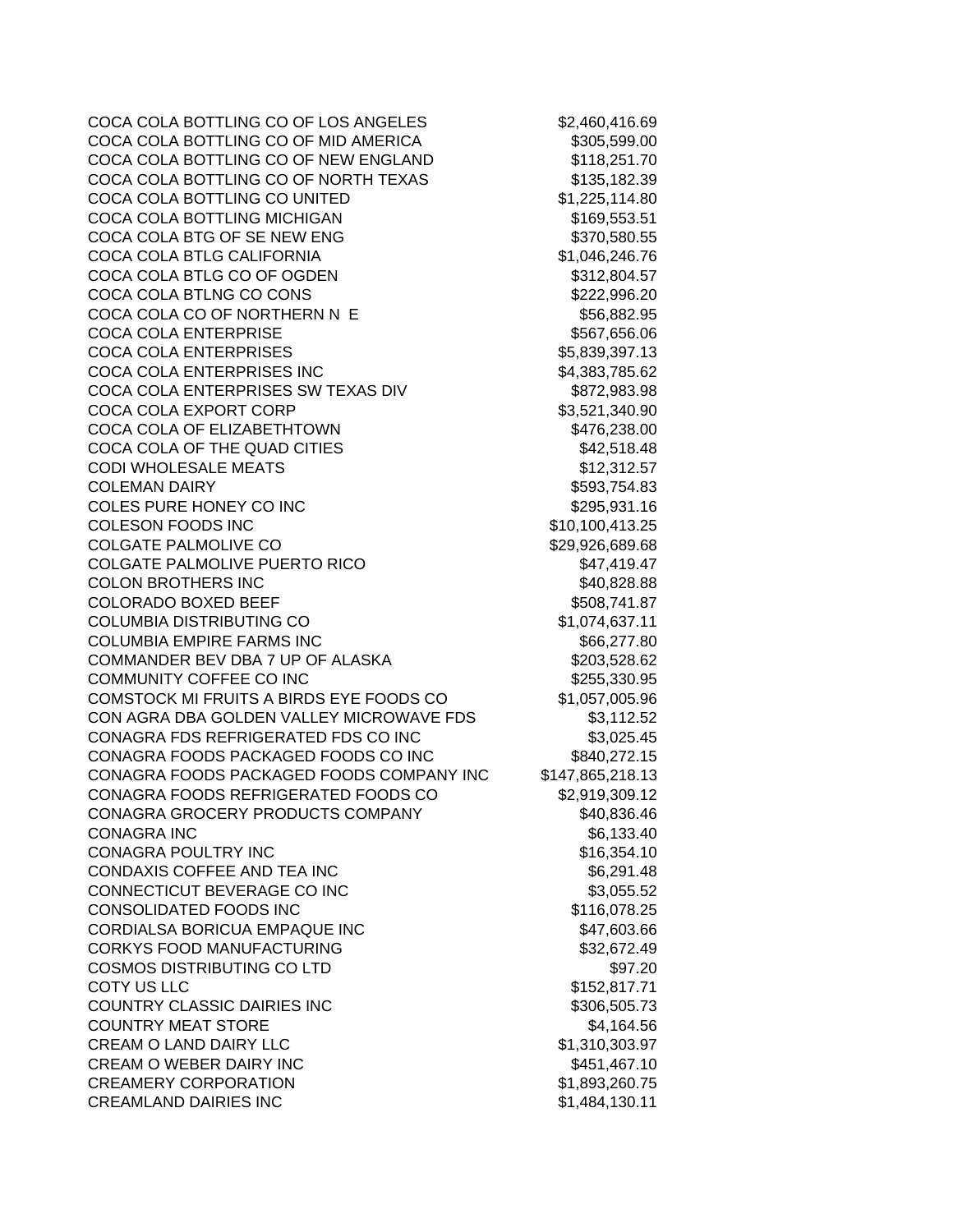COCA COLA BOTTLING CO OF LOS ANGELES \$2,460,416.69 COCA COLA BOTTLING CO OF MID AMERICA \$305,599.00 COCA COLA BOTTLING CO OF NEW ENGLAND \$118,251.70 COCA COLA BOTTLING CO OF NORTH TEXAS \$135,182.39 COCA COLA BOTTLING CO UNITED \$1,225,114.80 COCA COLA BOTTLING MICHIGAN \$169,553.51 COCA COLA BTG OF SE NEW ENG<br>
\$370,580.55 COCA COLA BTLG CALIFORNIA \$1,046,246.76 COCA COLA BTLG CO OF OGDEN \$312,804.57 COCA COLA BTLNG CO CONS \$222,996.20 COCA COLA CO OF NORTHERN N E \$56,882.95 COCA COLA ENTERPRISE **\$567,656.06** COCA COLA ENTERPRISES \$5,839,397.13 COCA COLA ENTERPRISES INC 64,383,785.62 COCA COLA ENTERPRISES SW TEXAS DIV \$872,983.98 COCA COLA EXPORT CORP \$3,521,340.90 COCA COLA OF ELIZABETHTOWN \$476,238.00 COCA COLA OF THE QUAD CITIES \$42,518.48 CODI WHOLESALE MEATS \$12,312.57 COLEMAN DAIRY **\$593,754.83** COLES PURE HONEY CO INC **\$295,931.16** COLESON FOODS INC \$10,100,413.25 COLGATE PALMOLIVE CO \$29,926,689.68 COLGATE PALMOLIVE PUERTO RICO 647,419.47 COLON BROTHERS INC \$40,828.88 COLORADO BOXED BEEF  $$508,741.87$ COLUMBIA DISTRIBUTING CO \$1,074,637.11 COLUMBIA EMPIRE FARMS INC **\$66,277.80** \$66,277.80 COMMANDER BEV DBA 7 UP OF ALASKA \$203,528.62 COMMUNITY COFFEE CO INC **\$255,330.95** COMSTOCK MI FRUITS A BIRDS EYE FOODS CO \$1,057,005.96 CON AGRA DBA GOLDEN VALLEY MICROWAVE FDS \$3,112.52 CONAGRA FDS REFRIGERATED FDS CO INC \$3,025.45 CONAGRA FOODS PACKAGED FOODS CO INC \$840,272.15 CONAGRA FOODS PACKAGED FOODS COMPANY INC \$147,865,218.13 CONAGRA FOODS REFRIGERATED FOODS CO \$2,919,309.12 CONAGRA GROCERY PRODUCTS COMPANY \$40,836.46 CONAGRA INC \$6,133.40 CONAGRA POULTRY INC **\$16,354.10** CONDAXIS COFFEE AND TEA INC 66,291.48 CONNECTICUT BEVERAGE CO INC \$3,055.52 CONSOLIDATED FOODS INC \$116,078.25 CORDIALSA BORICUA EMPAQUE INC **\$47,603.66** CORKYS FOOD MANUFACTURING **\$32,672.49** \$32,672.49 COSMOS DISTRIBUTING CO LTD \$97.20 COTY US LLC **S152,817.71** COUNTRY CLASSIC DAIRIES INC \$306,505.73 COUNTRY MEAT STORE \$4,164.56 CREAM O LAND DAIRY LLC \$1,310,303.97 CREAM O WEBER DAIRY INC \$451,467.10 CREAMERY CORPORATION \$1,893,260.75 CREAMLAND DAIRIES INC \$1,484,130.11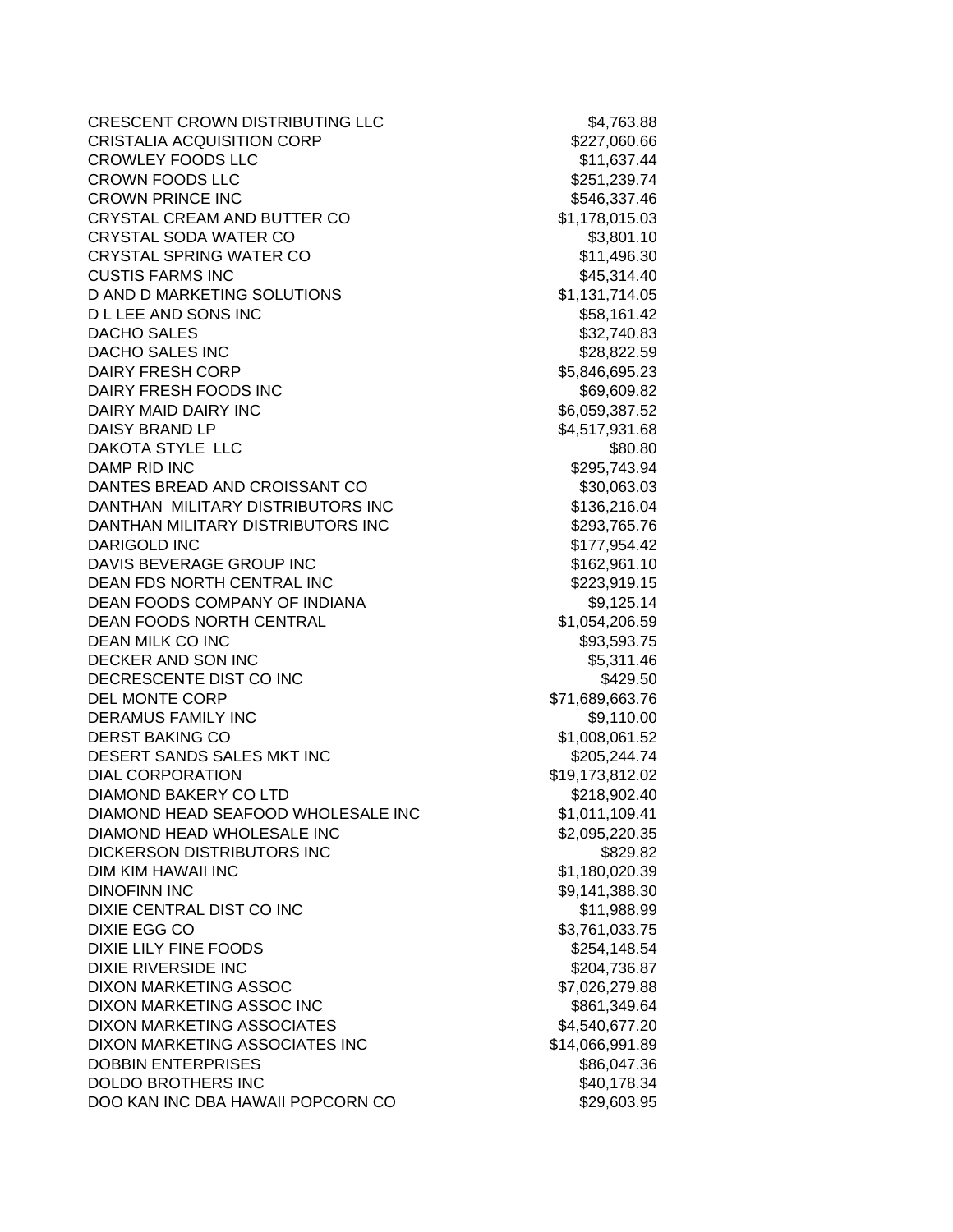CRESCENT CROWN DISTRIBUTING LLC \$4,763.88 CRISTALIA ACQUISITION CORP \$227,060.66 CROWLEY FOODS LLC \$11,637.44 CROWN FOODS LLC \$251,239.74 CROWN PRINCE INC **S546,337.46** CRYSTAL CREAM AND BUTTER CO \$1,178,015.03 CRYSTAL SODA WATER CO \$3,801.10 CRYSTAL SPRING WATER CO \$11,496.30 CUSTIS FARMS INC \$45,314.40 D AND D MARKETING SOLUTIONS \$1,131,714.05 D L LEE AND SONS INC \$58,161.42 DACHO SALES \$32,740.83 DACHO SALES INC \$28,822.59 DAIRY FRESH CORP **\$5,846,695.23** DAIRY FRESH FOODS INC \$69,609.82 DAIRY MAID DAIRY INC \$6,059,387.52 DAISY BRAND LP \$4,517,931.68 DAKOTA STYLE LLC \$80.80 DAMP RID INC \$295.743.94 DANTES BREAD AND CROISSANT CO \$30,063.03 DANTHAN MILITARY DISTRIBUTORS INC \$136,216.04 DANTHAN MILITARY DISTRIBUTORS INC \$293,765.76 DARIGOLD INC \$177,954.42 DAVIS BEVERAGE GROUP INC<br>
\$162,961.10 DEAN FDS NORTH CENTRAL INC 6223,919.15 DEAN FOODS COMPANY OF INDIANA 69.125.14 DEAN FOODS NORTH CENTRAL **\$1,054,206.59** DEAN MILK CO INC 693,593.75 DECKER AND SON INC \$5,311.46 DECRESCENTE DIST CO INC **\$429.50** DEL MONTE CORP \$71,689,663.76 DERAMUS FAMILY INC **Example 20** S9,110.00 DERST BAKING CO \$1,008,061.52 DESERT SANDS SALES MKT INC \$205,244.74 DIAL CORPORATION \$19,173,812.02 DIAMOND BAKERY CO LTD \$218,902.40 DIAMOND HEAD SEAFOOD WHOLESALE INC \$1,011,109.41 DIAMOND HEAD WHOLESALE INC \$2,095,220.35 DICKERSON DISTRIBUTORS INC \$829.82 DIM KIM HAWAII INC \$1,180,020.39 DINOFINN INC \$9,141,388.30 DIXIE CENTRAL DIST CO INC \$11,988.99 DIXIE EGG CO \$3,761,033.75 DIXIE LILY FINE FOODS \$254,148.54 DIXIE RIVERSIDE INC **\$204,736.87** DIXON MARKETING ASSOC \$7,026,279.88 DIXON MARKETING ASSOC INC **\$861,349.64** DIXON MARKETING ASSOCIATES \$4,540,677.20 DIXON MARKETING ASSOCIATES INC \$14,066,991.89 DOBBIN ENTERPRISES \$86,047.36 DOLDO BROTHERS INC \$40,178.34 DOO KAN INC DBA HAWAII POPCORN CO \$29,603.95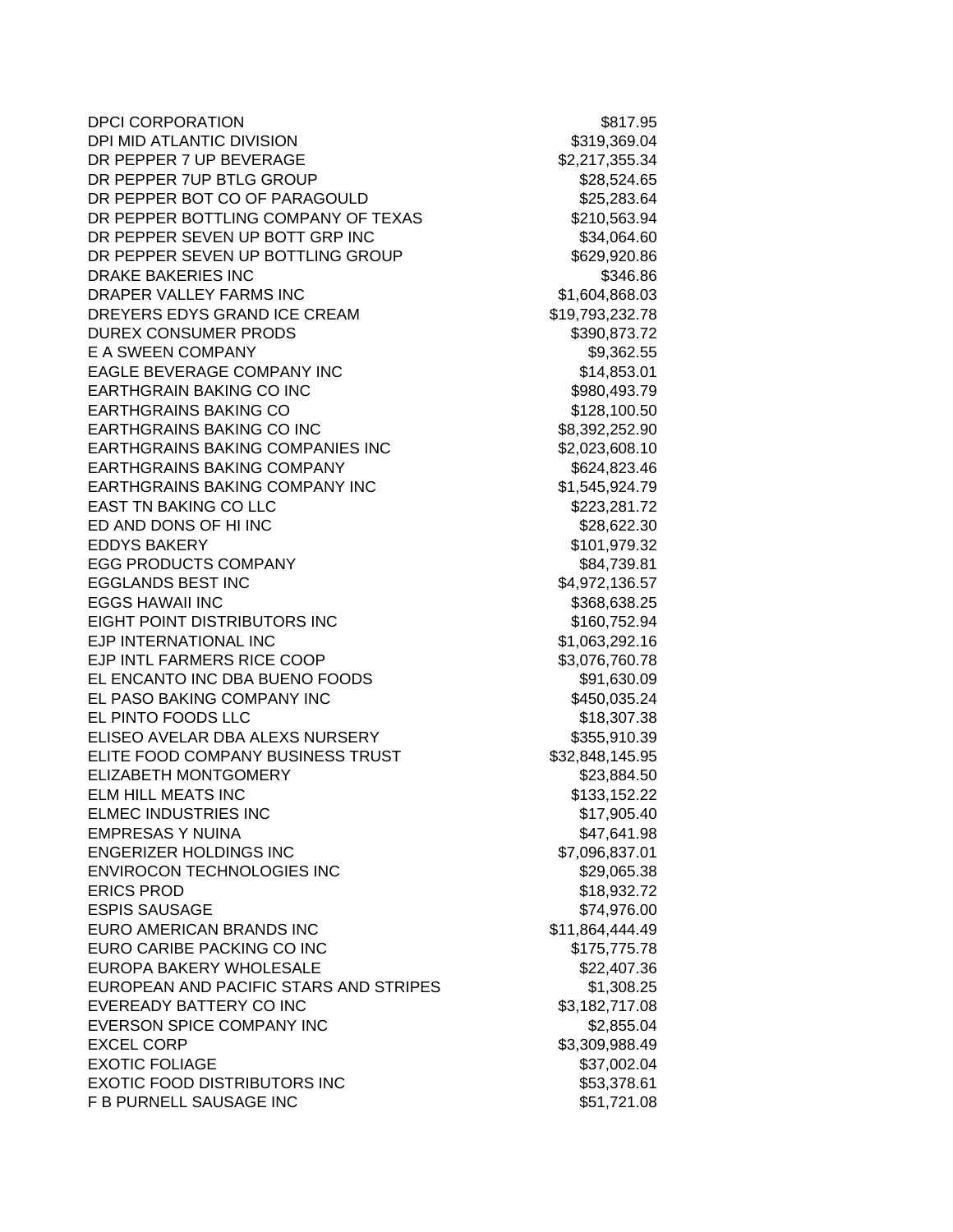| <b>DPCI CORPORATION</b>                 | \$817.95        |
|-----------------------------------------|-----------------|
| DPI MID ATLANTIC DIVISION               | \$319,369.04    |
| DR PEPPER 7 UP BEVERAGE                 | \$2,217,355.34  |
| DR PEPPER 7UP BTLG GROUP                | \$28,524.65     |
| DR PEPPER BOT CO OF PARAGOULD           | \$25,283.64     |
| DR PEPPER BOTTLING COMPANY OF TEXAS     | \$210,563.94    |
| DR PEPPER SEVEN UP BOTT GRP INC         | \$34,064.60     |
| DR PEPPER SEVEN UP BOTTLING GROUP       | \$629,920.86    |
| <b>DRAKE BAKERIES INC</b>               | \$346.86        |
| DRAPER VALLEY FARMS INC                 | \$1,604,868.03  |
| DREYERS EDYS GRAND ICE CREAM            | \$19,793,232.78 |
| <b>DUREX CONSUMER PRODS</b>             | \$390,873.72    |
| E A SWEEN COMPANY                       | \$9,362.55      |
| EAGLE BEVERAGE COMPANY INC              | \$14,853.01     |
| <b>EARTHGRAIN BAKING CO INC</b>         | \$980,493.79    |
| <b>EARTHGRAINS BAKING CO</b>            | \$128,100.50    |
| <b>EARTHGRAINS BAKING CO INC</b>        | \$8,392,252.90  |
| <b>EARTHGRAINS BAKING COMPANIES INC</b> | \$2,023,608.10  |
| <b>EARTHGRAINS BAKING COMPANY</b>       | \$624,823.46    |
| <b>EARTHGRAINS BAKING COMPANY INC</b>   | \$1,545,924.79  |
| <b>EAST TN BAKING CO LLC</b>            | \$223,281.72    |
| ED AND DONS OF HI INC                   | \$28,622.30     |
| <b>EDDYS BAKERY</b>                     | \$101,979.32    |
| <b>EGG PRODUCTS COMPANY</b>             | \$84,739.81     |
| <b>EGGLANDS BEST INC</b>                | \$4,972,136.57  |
| <b>EGGS HAWAII INC</b>                  | \$368,638.25    |
| EIGHT POINT DISTRIBUTORS INC            | \$160,752.94    |
| EJP INTERNATIONAL INC                   | \$1,063,292.16  |
| EJP INTL FARMERS RICE COOP              | \$3,076,760.78  |
| EL ENCANTO INC DBA BUENO FOODS          | \$91,630.09     |
| EL PASO BAKING COMPANY INC              | \$450,035.24    |
| EL PINTO FOODS LLC                      | \$18,307.38     |
| ELISEO AVELAR DBA ALEXS NURSERY         | \$355,910.39    |
| ELITE FOOD COMPANY BUSINESS TRUST       | \$32,848,145.95 |
| <b>ELIZABETH MONTGOMERY</b>             | \$23,884.50     |
| <b>ELM HILL MEATS INC</b>               | \$133,152.22    |
| ELMEC INDUSTRIES INC                    | \$17,905.40     |
| <b>EMPRESAS Y NUINA</b>                 | \$47,641.98     |
| <b>ENGERIZER HOLDINGS INC</b>           | \$7,096,837.01  |
| ENVIROCON TECHNOLOGIES INC              | \$29,065.38     |
| <b>ERICS PROD</b>                       | \$18,932.72     |
| <b>ESPIS SAUSAGE</b>                    | \$74,976.00     |
| EURO AMERICAN BRANDS INC                | \$11,864,444.49 |
| EURO CARIBE PACKING CO INC              | \$175,775.78    |
| EUROPA BAKERY WHOLESALE                 | \$22,407.36     |
| EUROPEAN AND PACIFIC STARS AND STRIPES  | \$1,308.25      |
| EVEREADY BATTERY CO INC                 | \$3,182,717.08  |
| EVERSON SPICE COMPANY INC               | \$2,855.04      |
| <b>EXCEL CORP</b>                       | \$3,309,988.49  |
| <b>EXOTIC FOLIAGE</b>                   | \$37,002.04     |
| <b>EXOTIC FOOD DISTRIBUTORS INC</b>     | \$53,378.61     |
| F B PURNELL SAUSAGE INC                 | \$51,721.08     |
|                                         |                 |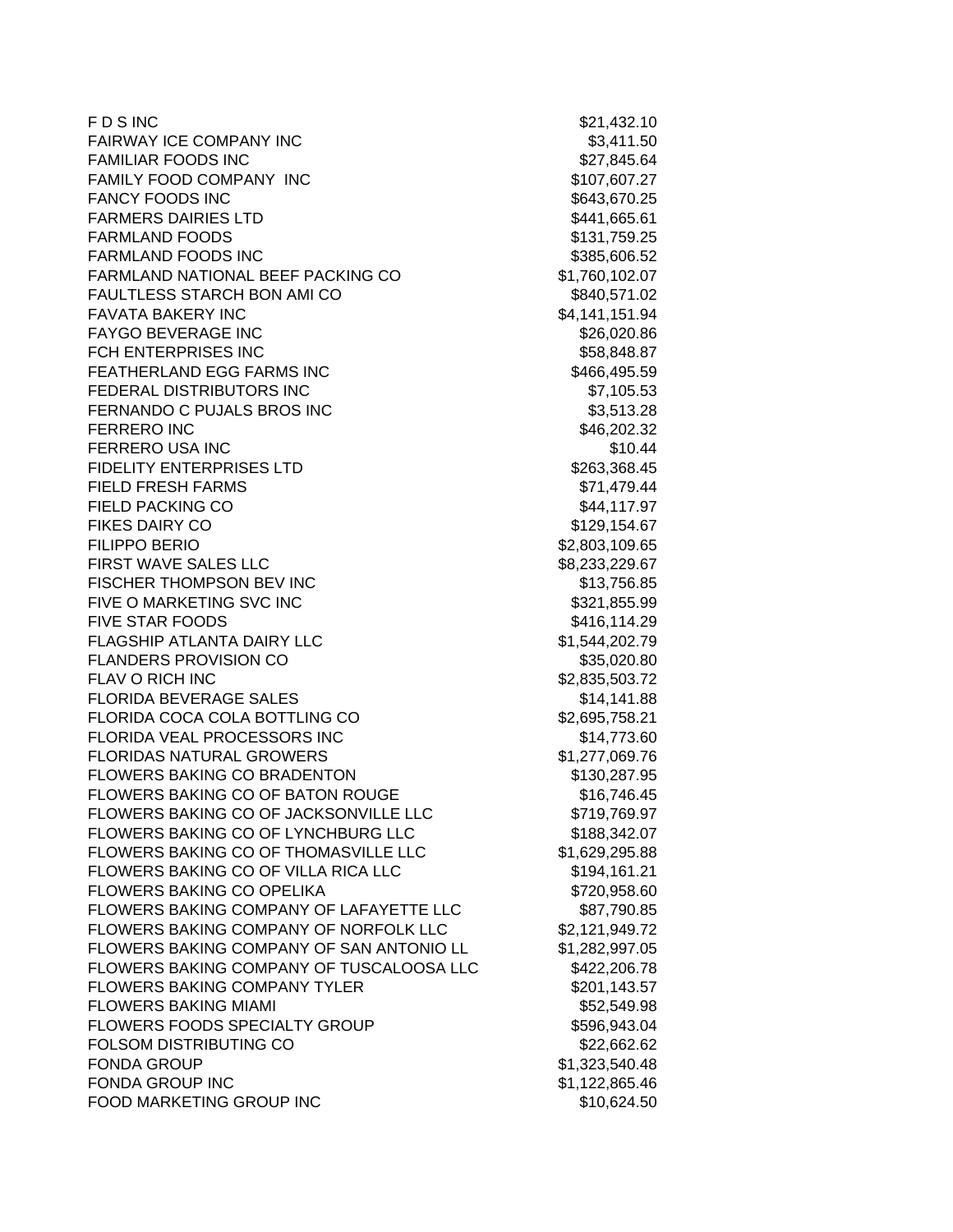| <b>FDSINC</b>                            | \$21,432.10    |
|------------------------------------------|----------------|
| <b>FAIRWAY ICE COMPANY INC</b>           | \$3,411.50     |
| <b>FAMILIAR FOODS INC</b>                | \$27,845.64    |
| FAMILY FOOD COMPANY INC                  | \$107,607.27   |
| <b>FANCY FOODS INC</b>                   | \$643,670.25   |
| <b>FARMERS DAIRIES LTD</b>               | \$441,665.61   |
| <b>FARMLAND FOODS</b>                    | \$131,759.25   |
| <b>FARMLAND FOODS INC</b>                | \$385,606.52   |
| FARMLAND NATIONAL BEEF PACKING CO        | \$1,760,102.07 |
| FAULTLESS STARCH BON AMI CO              | \$840,571.02   |
| <b>FAVATA BAKERY INC</b>                 | \$4,141,151.94 |
| <b>FAYGO BEVERAGE INC</b>                | \$26,020.86    |
| FCH ENTERPRISES INC                      | \$58,848.87    |
| FEATHERLAND EGG FARMS INC                | \$466,495.59   |
| FEDERAL DISTRIBUTORS INC                 | \$7,105.53     |
| FERNANDO C PUJALS BROS INC               | \$3,513.28     |
| <b>FERRERO INC</b>                       | \$46,202.32    |
| FERRERO USA INC                          | \$10.44        |
| <b>FIDELITY ENTERPRISES LTD</b>          | \$263,368.45   |
| <b>FIELD FRESH FARMS</b>                 | \$71,479.44    |
| <b>FIELD PACKING CO</b>                  | \$44,117.97    |
| <b>FIKES DAIRY CO</b>                    | \$129,154.67   |
| <b>FILIPPO BERIO</b>                     | \$2,803,109.65 |
| FIRST WAVE SALES LLC                     | \$8,233,229.67 |
| FISCHER THOMPSON BEV INC                 | \$13,756.85    |
| FIVE O MARKETING SVC INC                 | \$321,855.99   |
| <b>FIVE STAR FOODS</b>                   | \$416,114.29   |
| FLAGSHIP ATLANTA DAIRY LLC               | \$1,544,202.79 |
| <b>FLANDERS PROVISION CO</b>             | \$35,020.80    |
| <b>FLAV O RICH INC</b>                   | \$2,835,503.72 |
| <b>FLORIDA BEVERAGE SALES</b>            | \$14,141.88    |
| FLORIDA COCA COLA BOTTLING CO            | \$2,695,758.21 |
| FLORIDA VEAL PROCESSORS INC              | \$14,773.60    |
| <b>FLORIDAS NATURAL GROWERS</b>          | \$1,277,069.76 |
| <b>FLOWERS BAKING CO BRADENTON</b>       | \$130,287.95   |
| FLOWERS BAKING CO OF BATON ROUGE         | \$16,746.45    |
| FLOWERS BAKING CO OF JACKSONVILLE LLC    | \$719,769.97   |
| FLOWERS BAKING CO OF LYNCHBURG LLC       | \$188,342.07   |
| FLOWERS BAKING CO OF THOMASVILLE LLC     | \$1,629,295.88 |
| FLOWERS BAKING CO OF VILLA RICA LLC      | \$194,161.21   |
| FLOWERS BAKING CO OPELIKA                | \$720,958.60   |
| FLOWERS BAKING COMPANY OF LAFAYETTE LLC  | \$87,790.85    |
| FLOWERS BAKING COMPANY OF NORFOLK LLC    | \$2,121,949.72 |
| FLOWERS BAKING COMPANY OF SAN ANTONIO LL | \$1,282,997.05 |
| FLOWERS BAKING COMPANY OF TUSCALOOSA LLC | \$422,206.78   |
| <b>FLOWERS BAKING COMPANY TYLER</b>      | \$201,143.57   |
| <b>FLOWERS BAKING MIAMI</b>              | \$52,549.98    |
| FLOWERS FOODS SPECIALTY GROUP            | \$596,943.04   |
| FOLSOM DISTRIBUTING CO                   | \$22,662.62    |
| <b>FONDA GROUP</b>                       | \$1,323,540.48 |
| FONDA GROUP INC                          | \$1,122,865.46 |
| FOOD MARKETING GROUP INC                 | \$10,624.50    |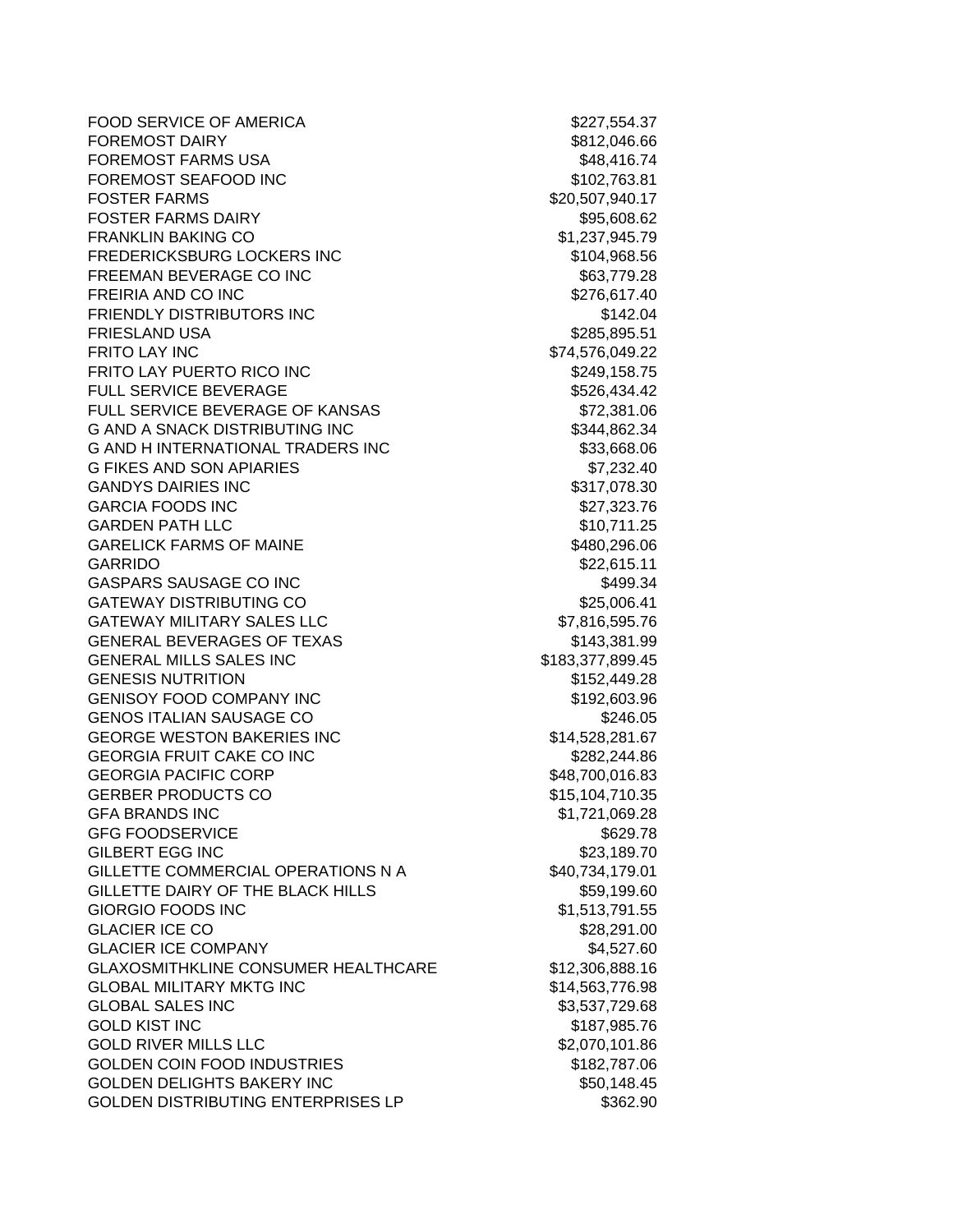FOOD SERVICE OF AMERICA \$227,554.37 FOREMOST DAIRY **\$812,046.66** FOREMOST FARMS USA  $$48,416.74$ FOREMOST SEAFOOD INC<br>
\$102,763.81 **FOSTER FARMS**  $$20,507,940.17$ FOSTER FARMS DAIRY **\$95,608.62** FRANKLIN BAKING CO **\$1,237,945.79** FREDERICKSBURG LOCKERS INC \$104,968.56 FREEMAN BEVERAGE CO INC \$63,779.28 FREIRIA AND CO INC \$276,617.40 **FRIENDLY DISTRIBUTORS INC EXAMPLE 2014 12:04 FRIESLAND USA** \$285,895.51 FRITO LAY INC \$74,576,049.22 FRITO LAY PUERTO RICO INC **\$249,158.75** FULL SERVICE BEVERAGE \$526.434.42 FULL SERVICE BEVERAGE OF KANSAS \$72,381.06 G AND A SNACK DISTRIBUTING INC \$344,862.34 G AND H INTERNATIONAL TRADERS INC \$33,668.06 G FIKES AND SON APIARIES \$7,232.40 GANDYS DAIRIES INC **\$317,078.30** GARCIA FOODS INC 6. 2008 10:00 \$27,323.76 GARDEN PATH LLC **the set of the set of the set of the set of the set of the set of the set of the set of the set of the set of the set of the set of the set of the set of the set of the set of the set of the set of the set** GARELICK FARMS OF MAINE \$480,296.06 GARRIDO \$22,615.11 GASPARS SAUSAGE CO INC \$499.34 GATEWAY DISTRIBUTING CO \$25,006.41 GATEWAY MILITARY SALES LLC  $$7,816,595.76$ GENERAL BEVERAGES OF TEXAS \$143,381.99 GENERAL MILLS SALES INC **\$183,377,899.45** GENESIS NUTRITION 6152,449.28 GENISOY FOOD COMPANY INC \$192,603.96 GENOS ITALIAN SAUSAGE CO **\$246.05** GEORGE WESTON BAKERIES INC<br>
\$14,528,281.67 GEORGIA FRUIT CAKE CO INC \$282,244.86 GEORGIA PACIFIC CORP \$48,700,016.83 GERBER PRODUCTS CO \$15,104,710.35 GFA BRANDS INC 66 (1992) 12:05:069.28 GFG FOODSERVICE \$629.78 GILBERT EGG INC **\$23,189.70** GILLETTE COMMERCIAL OPERATIONS N A \$40,734,179.01 GILLETTE DAIRY OF THE BLACK HILLS **\$59,199.60** \$59,199.60 GIORGIO FOODS INC **S1.513.791.55** GLACIER ICE CO \$28.291.00 GLACIER ICE COMPANY **\$4,527.60** GLAXOSMITHKLINE CONSUMER HEALTHCARE \$12,306,888.16 GLOBAL MILITARY MKTG INC \$14,563,776.98 GLOBAL SALES INC \$3,537,729.68 GOLD KIST INC \$187,985.76 GOLD RIVER MILLS LLC \$2,070,101.86 GOLDEN COIN FOOD INDUSTRIES \$182,787.06 GOLDEN DELIGHTS BAKERY INC \$50,148.45 GOLDEN DISTRIBUTING ENTERPRISES LP  $$362.90$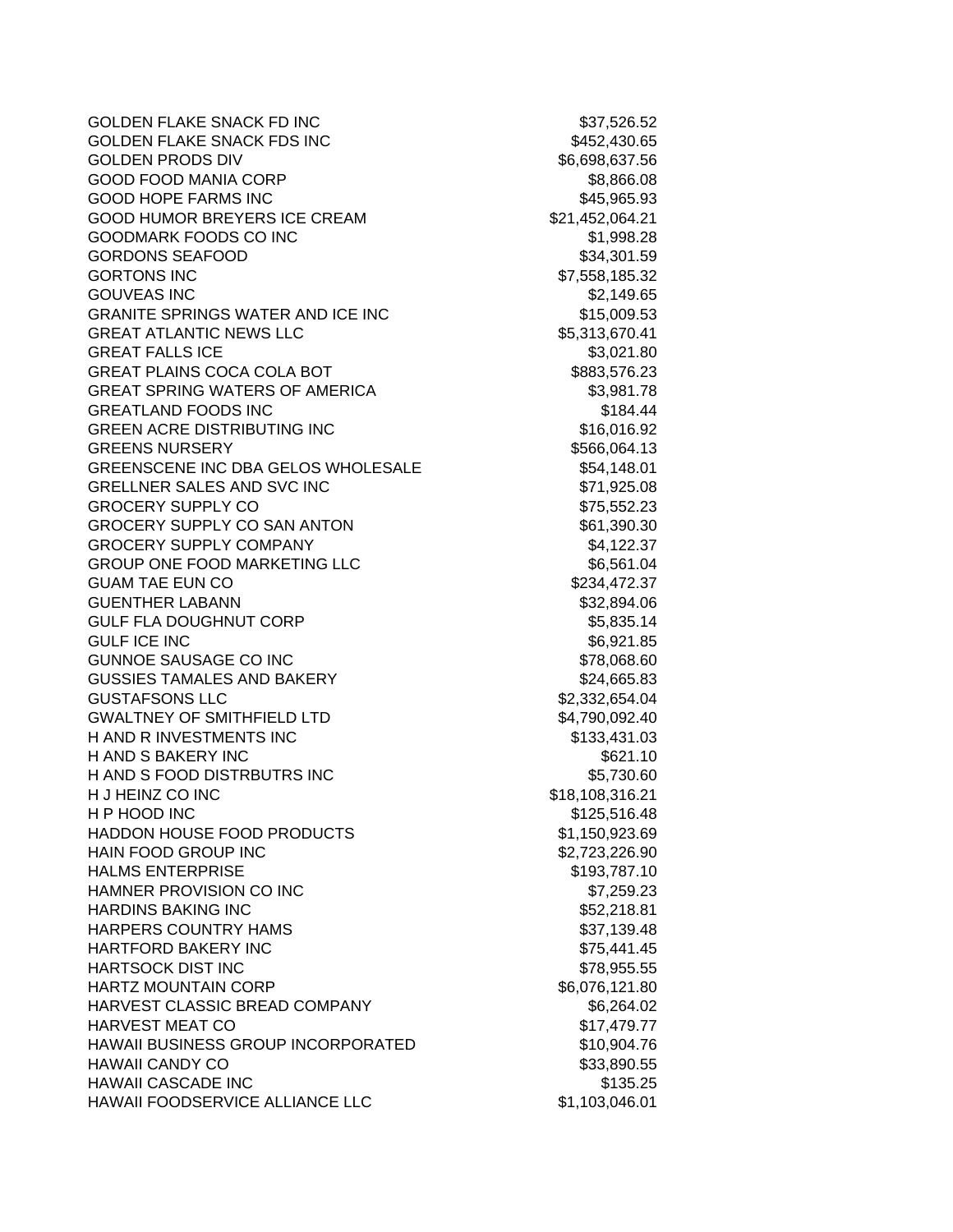GOLDEN FLAKE SNACK FD INC \$37,526.52 GOLDEN FLAKE SNACK FDS INC \$452,430.65 GOLDEN PRODS DIV 86,698,637.56 GOOD FOOD MANIA CORP \$8,866.08 GOOD HOPE FARMS INC \$45,965.93 GOOD HUMOR BREYERS ICE CREAM  $$21,452,064.21$ GOODMARK FOODS CO INC \$1,998.28 GORDONS SEAFOOD \$34,301.59 GORTONS INC \$7,558,185.32 GOUVEAS INC \$2,149.65 GRANITE SPRINGS WATER AND ICE INC **\$15,009.53** GREAT ATLANTIC NEWS LLC 68 and 100 million to the S5,313,670.41 GREAT FALLS ICE \$3,021.80 GREAT PLAINS COCA COLA BOT **\$883,576.23** GREAT SPRING WATERS OF AMERICA \$3,981.78 GREATLAND FOODS INC 68 (1995) 1994.44 GREEN ACRE DISTRIBUTING INC **\$16,016.92** GREENS NURSERY **\$566,064.13** GREENSCENE INC DBA GELOS WHOLESALE 654,148.01 GRELLNER SALES AND SVC INC \$71,925.08 GROCERY SUPPLY CO \$75,552.23 GROCERY SUPPLY CO SAN ANTON 661,390.30 GROCERY SUPPLY COMPANY **\$4,122.37** GROUP ONE FOOD MARKETING LLC \$6,561.04 GUAM TAE EUN CO **\$234,472.37** GUENTHER LABANN \$32,894.06 GULF FLA DOUGHNUT CORP \$5,835.14 GULF ICE INC 66,921.85 GUNNOE SAUSAGE CO INC \$78,068.60 GUSSIES TAMALES AND BAKERY \$24,665.83 GUSTAFSONS LLC \$2,332,654.04 GWALTNEY OF SMITHFIELD LTD \$4,790,092.40 H AND R INVESTMENTS INC \$133,431.03 H AND S BAKERY INC **S621.10** H AND S FOOD DISTRBUTRS INC \$5,730.60 H J HEINZ CO INC \$18,108,316.21 H P HOOD INC \$125,516.48 HADDON HOUSE FOOD PRODUCTS \$1,150,923.69 HAIN FOOD GROUP INC \$2,723,226.90 HALMS ENTERPRISE **\$193,787.10** HAMNER PROVISION CO INC **\$7,259.23** HARDINS BAKING INC **And Example 2018** 10:00:00 \$52,218.81 HARPERS COUNTRY HAMS \$37,139.48 HARTFORD BAKERY INC \$75,441.45 HARTSOCK DIST INC **the system of the STATE STATE STATE** STATES **\$78,955.55** HARTZ MOUNTAIN CORP \$6,076,121.80 HARVEST CLASSIC BREAD COMPANY \$6,264.02 HARVEST MEAT CO **\$17,479.77** HAWAII BUSINESS GROUP INCORPORATED \$10,904.76 HAWAII CANDY CO **\$33,890.55** HAWAII CASCADE INC **1999 12:00 12:00 12:00 13:00 13:00 13:00 13:00 13:00 13:00 13:00 13:00 13:00 13:00 13:00 13:00** HAWAII FOODSERVICE ALLIANCE LLC \$1,103,046.01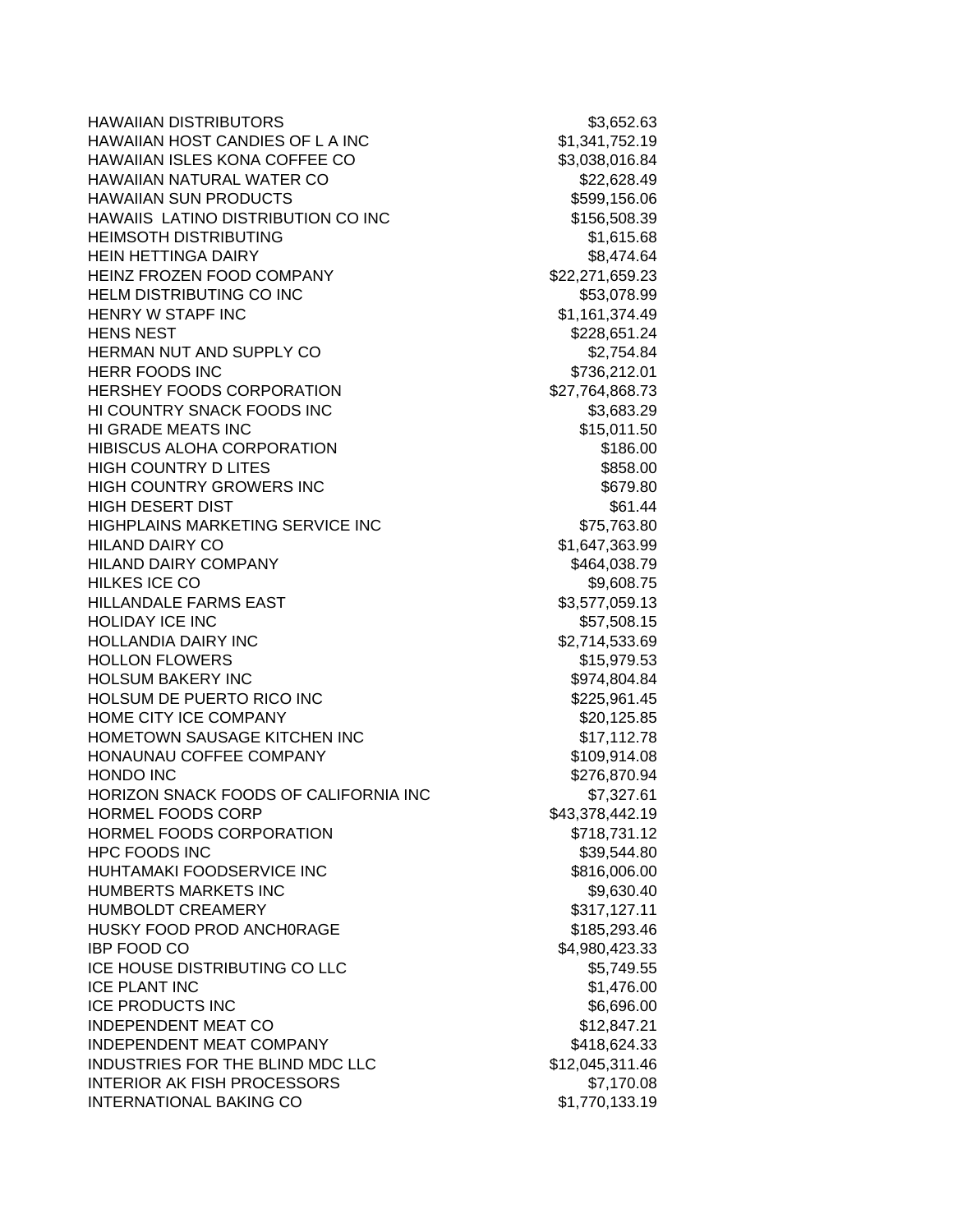HAWAIIAN DISTRIBUTORS \$3,652.63 HAWAIIAN HOST CANDIES OF LAINC **\$1,341,752.19** HAWAIIAN ISLES KONA COFFEE CO \$3,038,016.84 HAWAIIAN NATURAL WATER CO \$22,628.49 HAWAIIAN SUN PRODUCTS **\$599,156.06** HAWAIIS LATINO DISTRIBUTION CO INC \$156,508.39 HEIMSOTH DISTRIBUTING **\$1,615.68** HEIN HETTINGA DAIRY **\$8,474.64** HEINZ FROZEN FOOD COMPANY 622,271,659.23 HELM DISTRIBUTING CO INC **\$53,078.99** HENRY W STAPF INC 61, 161, 374.49 HENS NEST 3228,651.24 HERMAN NUT AND SUPPLY CO \$2,754.84 HERR FOODS INC 6736,212.01 HERSHEY FOODS CORPORATION \$27,764,868.73 HI COUNTRY SNACK FOODS INC \$3,683.29 HI GRADE MEATS INC \$15,011.50 HIBISCUS ALOHA CORPORATION \$186.00 HIGH COUNTRY D LITES \$858.00 HIGH COUNTRY GROWERS INC **\$679.80** \$679.80 HIGH DESERT DIST **\$61.44** HIGHPLAINS MARKETING SERVICE INC **\$75,763.80** HILAND DAIRY CO **\$1,647,363.99** HILAND DAIRY COMPANY \$464,038.79 HILKES ICE CO \$9,608.75 HILLANDALE FARMS EAST \$3,577,059.13 HOLIDAY ICE INC 657,508.15 HOLLANDIA DAIRY INC \$2,714,533.69 HOLLON FLOWERS **\$15,979.53** HOLSUM BAKERY INC \$974,804.84 HOLSUM DE PUERTO RICO INC **\$225,961.45** HOME CITY ICE COMPANY 620,125.85 HOMETOWN SAUSAGE KITCHEN INC<br>
\$17,112.78 HONAUNAU COFFEE COMPANY \$109,914.08 HONDO INC \$276,870.94 HORIZON SNACK FOODS OF CALIFORNIA INC \$7,327.61 HORMEL FOODS CORP \$43,378,442.19 HORMEL FOODS CORPORATION **\$718,731.12** HPC FOODS INC \$39,544.80 HUHTAMAKI FOODSERVICE INC<br>  $$816,006.00$ HUMBERTS MARKETS INC **\$9,630.40** HUMBOLDT CREAMERY **\$317,127.11** HUSKY FOOD PROD ANCH0RAGE \$185,293.46 **IBP FOOD CO** \$4,980,423.33 ICE HOUSE DISTRIBUTING CO LLC \$5,749.55 ICE PLANT INC \$1,476.00 ICE PRODUCTS INC **the example of the example of the example of the example of the example of the example of the example of the example of the example of the example of the example of the example of the example of the examp** INDEPENDENT MEAT CO \$12,847.21 INDEPENDENT MEAT COMPANY \$418,624.33 INDUSTRIES FOR THE BLIND MDC LLC \$12,045,311.46 INTERIOR AK FISH PROCESSORS \$7,170.08 INTERNATIONAL BAKING CO \$1,770,133.19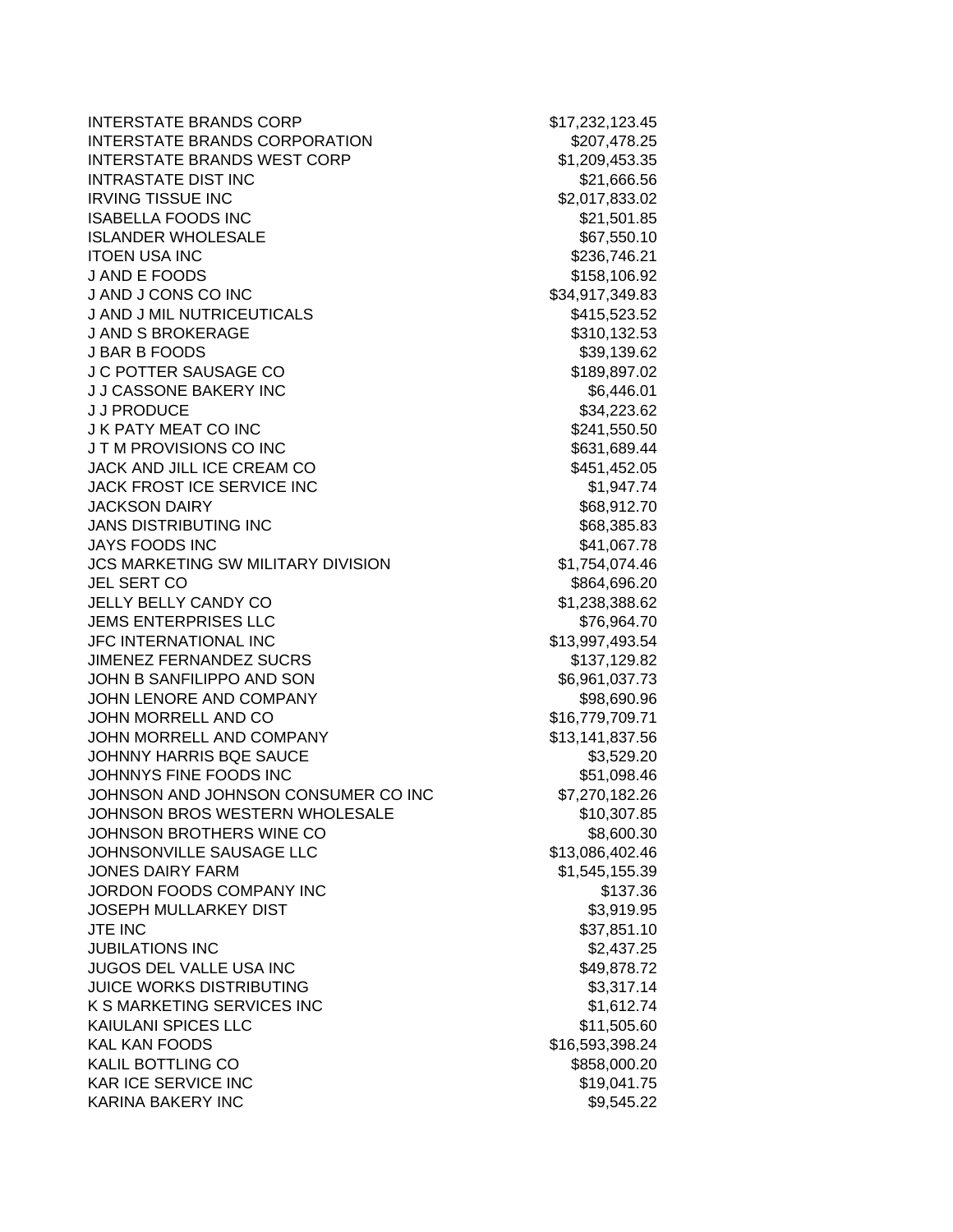INTERSTATE BRANDS CORP \$17,232,123.45 INTERSTATE BRANDS CORPORATION \$207,478.25 INTERSTATE BRANDS WEST CORP \$1,209,453.35 INTRASTATE DIST INC **\$21,666.56 IRVING TISSUE INC INC 1999 1999 1999 1999 1999 1999 1999 1999 1999 1999 1999 1999 1999 1999 1999 1999 1999 1999 1999 1999 1999 1999 1999 1999 1999 1999 1999 1999 ISABELLA FOODS INC 1992 1993 1993 1994 1995 1996 1997 1998 1997 1998 1999 1999 1999 1999 1999 1999 1999 1999 1999 1999 1999 1999 1999 1999 1999 1999 1999 1999 1999** ISLANDER WHOLESALE \$67,550.10 ITOEN USA INC \$236,746.21 J AND E FOODS \$158,106.92 J AND J CONS CO INC \$34,917,349.83 J AND J MIL NUTRICEUTICALS \$415,523.52 J AND S BROKERAGE \$310,132.53 J BAR B FOODS \$39,139.62 J C POTTER SAUSAGE CO \$189,897.02 J J CASSONE BAKERY INC \$6,446.01 J J PRODUCE \$34,223.62 J K PATY MEAT CO INC **\$241,550.50** J T M PROVISIONS CO INC **\$631,689.44** JACK AND JILL ICE CREAM CO \$451,452.05 JACK FROST ICE SERVICE INC **\$1,947.74** JACKSON DAIRY **\$68,912.70** JANS DISTRIBUTING INC **\$68,385.83** JAYS FOODS INC 641,067.78 JCS MARKETING SW MILITARY DIVISION \$1,754,074.46 JEL SERT CO \$864,696.20 JELLY BELLY CANDY CO \$1,238,388.62 JEMS ENTERPRISES LLC \$76,964.70 JFC INTERNATIONAL INC \$13,997,493.54 JIMENEZ FERNANDEZ SUCRS **\$137,129.82** JOHN B SANFILIPPO AND SON \$6,961,037.73 JOHN LENORE AND COMPANY **\$98,690.96** JOHN MORRELL AND CO \$16,779,709.71 JOHN MORRELL AND COMPANY \$13,141,837.56 JOHNNY HARRIS BQE SAUCE \$3,529.20 JOHNNYS FINE FOODS INC \$51,098.46 JOHNSON AND JOHNSON CONSUMER CO INC \$7,270,182.26 JOHNSON BROS WESTERN WHOLESALE \$10,307.85 JOHNSON BROTHERS WINE CO \$8,600.30 JOHNSONVILLE SAUSAGE LLC \$13,086,402.46 JONES DAIRY FARM  $$1,545,155.39$ JORDON FOODS COMPANY INC \$137.36 JOSEPH MULLARKEY DIST **\$3,919.95**  $JTE$  INC  $$37.851.10$ JUBILATIONS INC \$2,437.25 JUGOS DEL VALLE USA INC \$49,878.72 JUICE WORKS DISTRIBUTING **\$3,317.14** K S MARKETING SERVICES INC \$1,612.74 KAIULANI SPICES LLC \$11,505.60 KAL KAN FOODS \$16,593,398.24 KALIL BOTTLING CO \$858,000.20 KAR ICE SERVICE INC **\$19,041.75** KARINA BAKERY INC \$9,545.22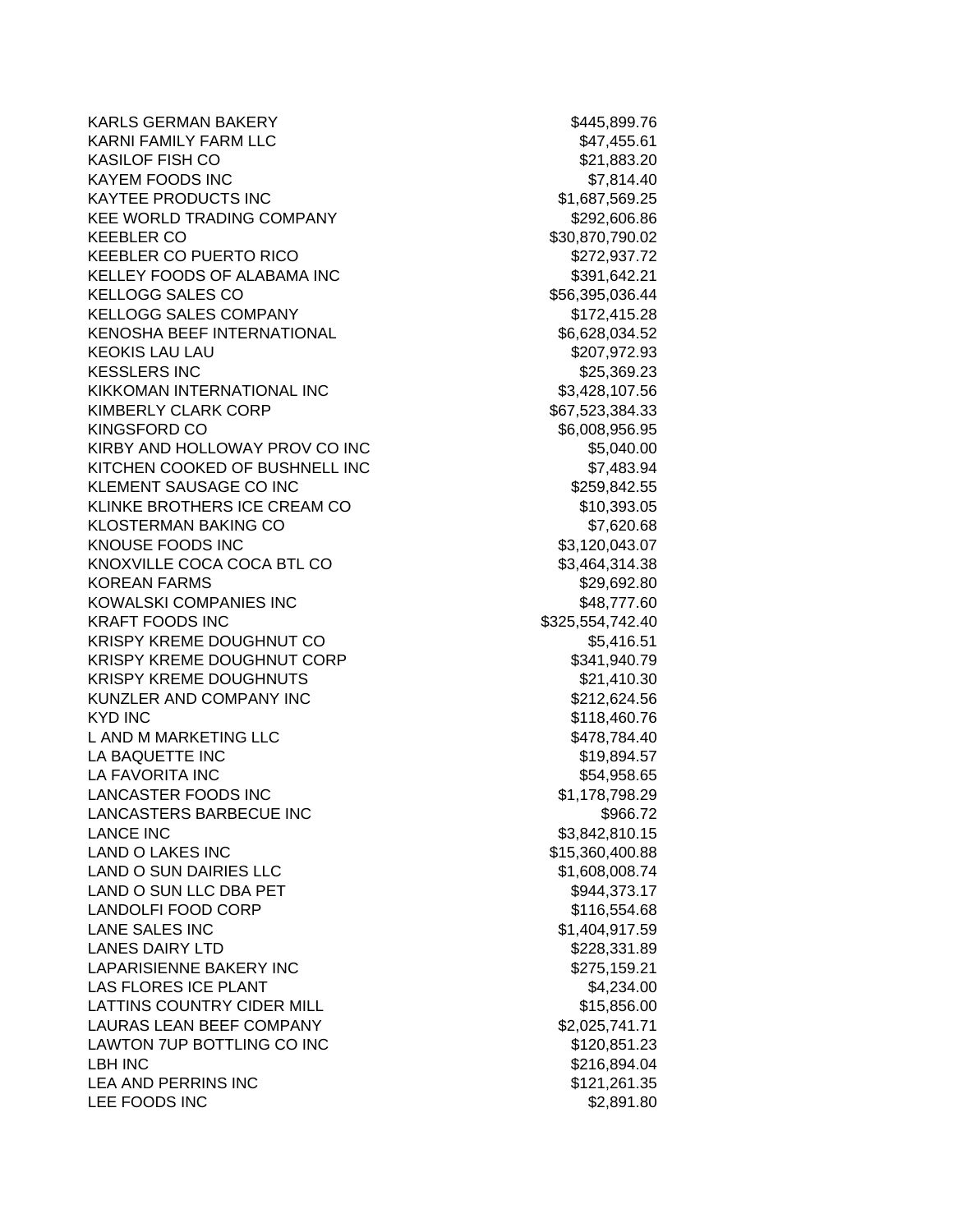KARLS GERMAN BAKERY \$445,899.76 KARNI FAMILY FARM LLC **the set of the set of the set of the set of the set of the set of the set of the set of th** KASILOF FISH CO \$21,883.20 KAYEM FOODS INC \$7,814.40 KAYTEE PRODUCTS INC \$1,687,569.25 KEE WORLD TRADING COMPANY **\$292,606.86** KEEBLER CO \$30,870,790.02 KEEBLER CO PUERTO RICO **\$272,937.72** KELLEY FOODS OF ALABAMA INC 6391,642.21 KELLOGG SALES CO \$56,395,036.44 KELLOGG SALES COMPANY **\$172,415.28** KENOSHA BEEF INTERNATIONAL **1998 1-100 SS 100 SS 100 SS 100 SS 100 SS 100 SS 100 SS 100 SS 100 SS 100 SS 100 SS** KEOKIS LAU LAU **\$207,972.93** KESSLERS INC \$25,369.23 KIKKOMAN INTERNATIONAL INC 63.428.107.56 KIMBERLY CLARK CORP \$67,523,384.33 KINGSFORD CO \$6,008,956.95 KIRBY AND HOLLOWAY PROV CO INC **\$5,040.00** KITCHEN COOKED OF BUSHNELL INC **\$7,483.94** KLEMENT SAUSAGE CO INC \$259,842.55 KLINKE BROTHERS ICE CREAM CO \$10,393.05 KLOSTERMAN BAKING CO \$7,620.68 KNOUSE FOODS INC \$3,120,043.07 KNOXVILLE COCA COCA BTL CO \$3,464,314.38 KOREAN FARMS \$29,692.80 KOWALSKI COMPANIES INC \$48,777.60 KRAFT FOODS INC 6325,554,742.40 KRISPY KREME DOUGHNUT CO **\$5,416.51** KRISPY KREME DOUGHNUT CORP **\$341,940.79** KRISPY KREME DOUGHNUTS **\$21,410.30** KUNZLER AND COMPANY INC \$212,624.56 KYD INC \$118,460.76 L AND M MARKETING LLC 6478,784.40 LA BAQUETTE INC **the set of the set of the set of the set of the set of the set of the set of the set of the set of the set of the set of the set of the set of the set of the set of the set of the set of the set of the set** LA FAVORITA INC \$54,958.65 LANCASTER FOODS INC \$1,178,798.29 LANCASTERS BARBECUE INC \$966.72 LANCE INC \$3,842,810.15 LAND O LAKES INC \$15,360,400.88 LAND O SUN DAIRIES LLC \$1,608,008.74 LAND O SUN LLC DBA PET \$944,373.17 LANDOLFI FOOD CORP \$116,554.68 LANE SALES INC 6.1.404,917.59 LANES DAIRY LTD \$228,331.89 LAPARISIENNE BAKERY INC \$275,159.21 LAS FLORES ICE PLANT **\$4,234.00** LATTINS COUNTRY CIDER MILL **ALL COUNTRY CIDER MILL** LAURAS LEAN BEEF COMPANY \$2,025,741.71 LAWTON 7UP BOTTLING CO INC \$120,851.23 LBH INC \$216,894.04 LEA AND PERRINS INC **\$121,261.35** LEE FOODS INC \$2,891.80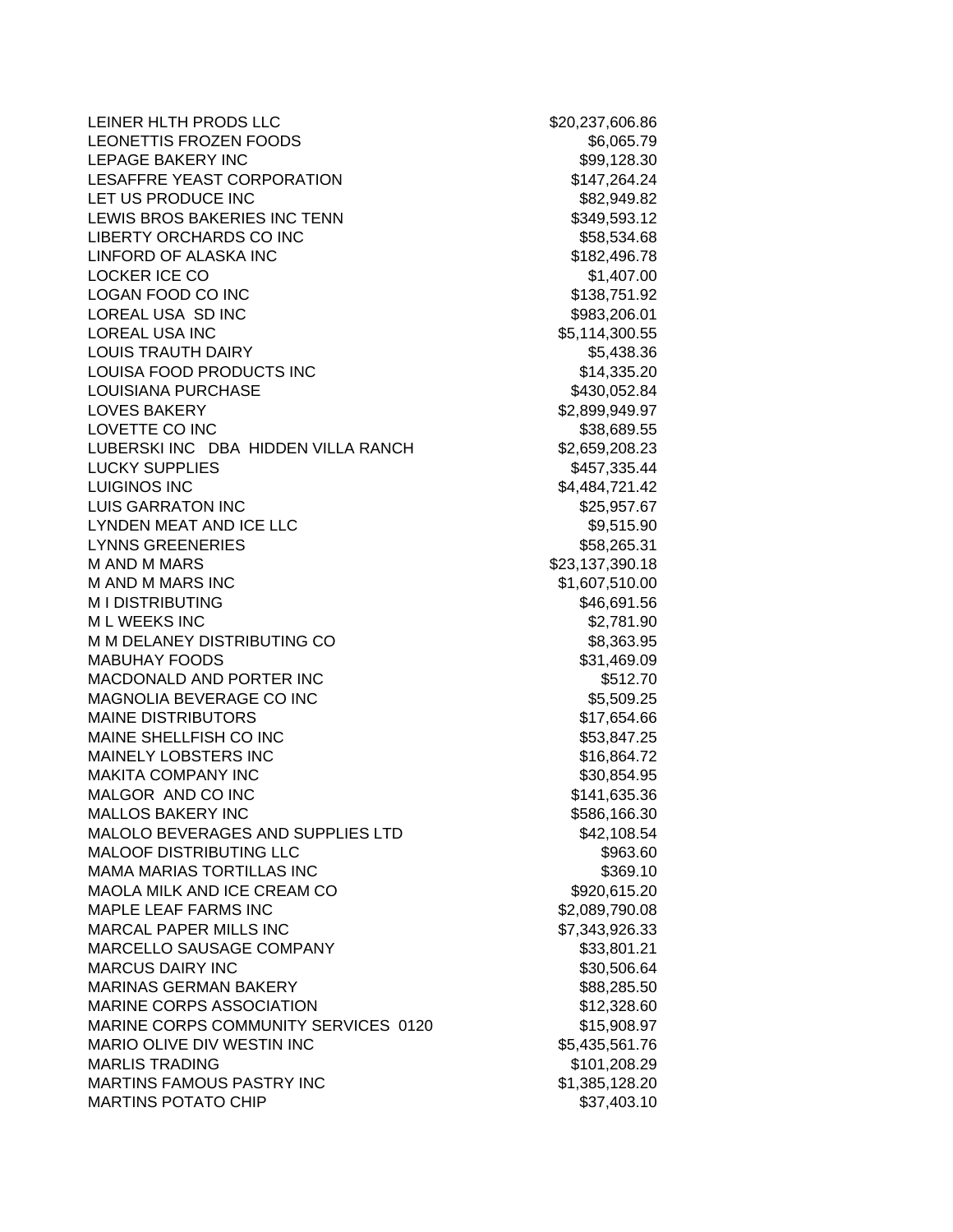LEINER HLTH PRODS LLC \$20,237,606.86 LEONETTIS FROZEN FOODS \$6,065.79 LEPAGE BAKERY INC **\$99,128.30** LESAFFRE YEAST CORPORATION \$147,264.24 LET US PRODUCE INC<br>
\$82,949.82 LEWIS BROS BAKERIES INC TENN \$349,593.12 LIBERTY ORCHARDS CO INC \$58,534.68 LINFORD OF ALASKA INC \$182,496.78 LOCKER ICE CO \$1,407.00 LOGAN FOOD CO INC \$138,751.92 LOREAL USA SD INC **\$983,206.01** LOREAL USA INC 65,114,300.55 LOUIS TRAUTH DAIRY **\$5,438.36** LOUISA FOOD PRODUCTS INC<br>\$14,335.20 LOUISIANA PURCHASE **\$430,052.84** LOVES BAKERY \$2,899,949.97 LOVETTE CO INC 600 and 200 and 200 and 338,689.55 LUBERSKI INC DBA HIDDEN VILLA RANCH \$2,659,208.23 LUCKY SUPPLIES \$457,335.44 LUIGINOS INC **\$4,484,721.42** LUIS GARRATON INC **\$25,957.67** LYNDEN MEAT AND ICE LLC 69,515.90 LYNNS GREENERIES \$58,265.31 M AND M MARS \$23,137,390.18 M AND M MARS INC \$1,607,510.00 M I DISTRIBUTING \$46,691.56 M L WEEKS INC \$2,781.90 M M DELANEY DISTRIBUTING CO \$8,363.95 MABUHAY FOODS \$31,469.09 MACDONALD AND PORTER INC **\$512.70** MAGNOLIA BEVERAGE CO INC \$5,509.25 MAINE DISTRIBUTORS **\$17,654.66** MAINE SHELLFISH CO INC \$53,847.25 MAINELY LOBSTERS INC<br>
\$16,864.72 MAKITA COMPANY INC 6. THE STATE STATE STATES AND STATES AND STATES AND STATES AND STATES AND STATES AND STATES MALGOR AND CO INC \$141,635.36 MALLOS BAKERY INC **\$586,166.30** \$586,166.30 MALOLO BEVERAGES AND SUPPLIES LTD \$42,108.54 MALOOF DISTRIBUTING LLC \$963.60 MAMA MARIAS TORTILLAS INC **\$369.10** \$369.10 MAOLA MILK AND ICE CREAM CO \$920,615.20 MAPLE LEAF FARMS INC \$2,089,790.08 MARCAL PAPER MILLS INC \$7,343,926.33 MARCELLO SAUSAGE COMPANY **\$33,801.21** MARCUS DAIRY INC **\$30,506.64** MARINAS GERMAN BAKERY **\$88,285.50** \$88,285.50 MARINE CORPS ASSOCIATION 612,328.60 MARINE CORPS COMMUNITY SERVICES 0120 \$15,908.97 MARIO OLIVE DIV WESTIN INC \$5,435,561.76 MARLIS TRADING \$101,208.29 MARTINS FAMOUS PASTRY INC<br>
\$1,385,128.20 MARTINS POTATO CHIP \$37,403.10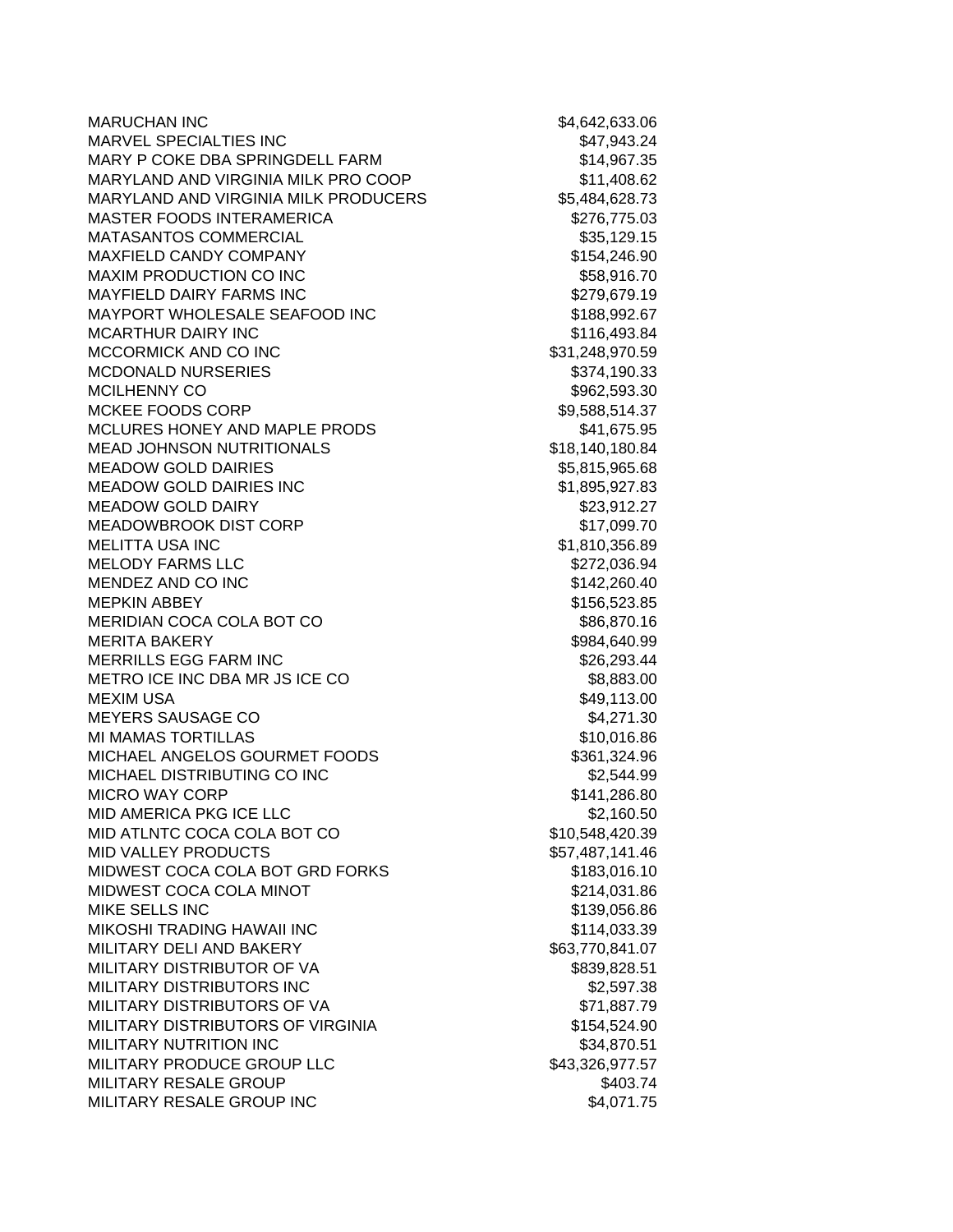| <b>MARUCHAN INC</b>                         | \$4,642,633.06  |
|---------------------------------------------|-----------------|
| MARVEL SPECIALTIES INC                      | \$47,943.24     |
| MARY P COKE DBA SPRINGDELL FARM             | \$14,967.35     |
| MARYLAND AND VIRGINIA MILK PRO COOP         | \$11,408.62     |
| <b>MARYLAND AND VIRGINIA MILK PRODUCERS</b> | \$5,484,628.73  |
| <b>MASTER FOODS INTERAMERICA</b>            | \$276,775.03    |
| MATASANTOS COMMERCIAL                       | \$35,129.15     |
| MAXFIELD CANDY COMPANY                      | \$154,246.90    |
| MAXIM PRODUCTION CO INC                     | \$58,916.70     |
| MAYFIELD DAIRY FARMS INC                    | \$279,679.19    |
| MAYPORT WHOLESALE SEAFOOD INC               | \$188,992.67    |
| <b>MCARTHUR DAIRY INC</b>                   | \$116,493.84    |
| MCCORMICK AND CO INC                        | \$31,248,970.59 |
| <b>MCDONALD NURSERIES</b>                   | \$374,190.33    |
| <b>MCILHENNY CO</b>                         | \$962,593.30    |
| MCKEE FOODS CORP                            | \$9,588,514.37  |
| MCLURES HONEY AND MAPLE PRODS               | \$41,675.95     |
| <b>MEAD JOHNSON NUTRITIONALS</b>            | \$18,140,180.84 |
| <b>MEADOW GOLD DAIRIES</b>                  | \$5,815,965.68  |
| <b>MEADOW GOLD DAIRIES INC</b>              | \$1,895,927.83  |
| <b>MEADOW GOLD DAIRY</b>                    | \$23,912.27     |
| <b>MEADOWBROOK DIST CORP</b>                | \$17,099.70     |
| <b>MELITTA USA INC</b>                      | \$1,810,356.89  |
| <b>MELODY FARMS LLC</b>                     | \$272,036.94    |
| MENDEZ AND CO INC                           | \$142,260.40    |
| <b>MEPKIN ABBEY</b>                         | \$156,523.85    |
| MERIDIAN COCA COLA BOT CO                   | \$86,870.16     |
| <b>MERITA BAKERY</b>                        | \$984,640.99    |
| <b>MERRILLS EGG FARM INC</b>                | \$26,293.44     |
| METRO ICE INC DBA MR JS ICE CO              | \$8,883.00      |
| <b>MEXIM USA</b>                            | \$49,113.00     |
| MEYERS SAUSAGE CO                           | \$4,271.30      |
| <b>MI MAMAS TORTILLAS</b>                   | \$10,016.86     |
| MICHAEL ANGELOS GOURMET FOODS               | \$361,324.96    |
| MICHAEL DISTRIBUTING CO INC                 | \$2,544.99      |
| <b>MICRO WAY CORP</b>                       | \$141,286.80    |
| MID AMERICA PKG ICE LLC                     | \$2,160.50      |
| MID ATLNTC COCA COLA BOT CO                 | \$10,548,420.39 |
| <b>MID VALLEY PRODUCTS</b>                  | \$57,487,141.46 |
| MIDWEST COCA COLA BOT GRD FORKS             | \$183,016.10    |
| MIDWEST COCA COLA MINOT                     | \$214,031.86    |
| MIKE SELLS INC                              | \$139,056.86    |
| MIKOSHI TRADING HAWAII INC                  | \$114,033.39    |
| MILITARY DELI AND BAKERY                    | \$63,770,841.07 |
| MILITARY DISTRIBUTOR OF VA                  | \$839,828.51    |
| MILITARY DISTRIBUTORS INC                   | \$2,597.38      |
| MILITARY DISTRIBUTORS OF VA                 | \$71,887.79     |
| MILITARY DISTRIBUTORS OF VIRGINIA           | \$154,524.90    |
| MILITARY NUTRITION INC                      | \$34,870.51     |
| MILITARY PRODUCE GROUP LLC                  | \$43,326,977.57 |
| MILITARY RESALE GROUP                       | \$403.74        |
| MILITARY RESALE GROUP INC                   | \$4,071.75      |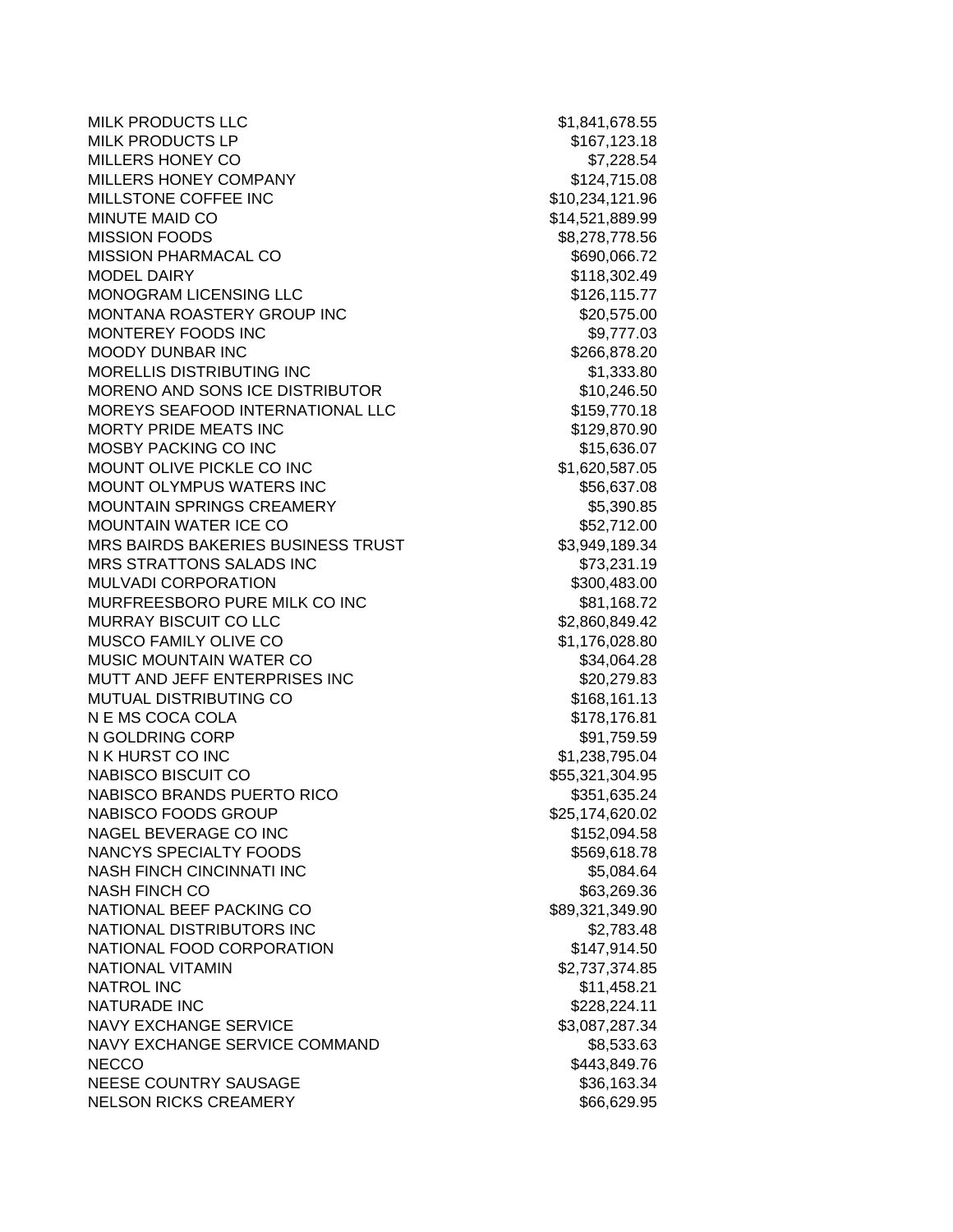MILK PRODUCTS LLC  $$1,841,678.55$ MILK PRODUCTS LP \$167,123.18 MILLERS HONEY CO **\$7,228.54** MILLERS HONEY COMPANY 6124,715.08 MILLSTONE COFFEE INC \$10,234,121.96 MINUTE MAID CO **\$14,521,889.99** MISSION FOODS \$8,278,778.56 MISSION PHARMACAL CO **\$690,066.72** MODEL DAIRY **\$118,302.49** MONOGRAM LICENSING LLC **\$126,115.77** MONTANA ROASTERY GROUP INC \$20,575.00 MONTEREY FOODS INC 69.777.03 MOODY DUNBAR INC \$266,878.20 MORELLIS DISTRIBUTING INC 61,333.80 MORENO AND SONS ICE DISTRIBUTOR  $$10.246.50$ MOREYS SEAFOOD INTERNATIONAL LLC \$159,770.18 MORTY PRIDE MEATS INC \$129,870.90 MOSBY PACKING CO INC \$15,636.07 MOUNT OLIVE PICKLE CO INC \$1,620,587.05 MOUNT OLYMPUS WATERS INC **\$56,637.08** \$56,637.08 MOUNTAIN SPRINGS CREAMERY **\$5,390.85** MOUNTAIN WATER ICE CO **\$52,712.00** MRS BAIRDS BAKERIES BUSINESS TRUST \$3,949,189.34 MRS STRATTONS SALADS INC **\$73,231.19** MULVADI CORPORATION 61 | 1990 | 1990 | 1990 | 1990 | 1990 | 1990 | 1990 | 1990 | 1990 | 1990 | 1990 | 1990 | 1 MURFREESBORO PURE MILK CO INC **\$81,168.72** MURRAY BISCUIT CO LLC \$2,860,849.42 MUSCO FAMILY OLIVE CO **\$1,176,028.80** MUSIC MOUNTAIN WATER CO \$34,064.28 MUTT AND JEFF ENTERPRISES INC \$20,279.83 MUTUAL DISTRIBUTING CO \$168,161.13 N E MS COCA COLA  $$178,176.81$ N GOLDRING CORP \$91,759.59 N K HURST CO INC \$1,238,795.04 NABISCO BISCUIT CO \$55,321,304.95 NABISCO BRANDS PUERTO RICO \$351,635.24 NABISCO FOODS GROUP \$25,174,620.02 NAGEL BEVERAGE CO INC \$152,094.58 NANCYS SPECIALTY FOODS \$569,618.78 NASH FINCH CINCINNATI INC \$5,084.64 NASH FINCH CO **\$63,269.36** NATIONAL BEEF PACKING CO \$89,321,349.90 NATIONAL DISTRIBUTORS INC \$2.783.48 NATIONAL FOOD CORPORATION \$147,914.50 NATIONAL VITAMIN 62,737,374.85 NATROL INC \$11,458.21 NATURADE INC \$228,224.11 NAVY EXCHANGE SERVICE \$3,087,287.34 NAVY EXCHANGE SERVICE COMMAND \$8,533.63 NECCO \$443,849.76 NEESE COUNTRY SAUSAGE \$36,163.34 NELSON RICKS CREAMERY \$66,629.95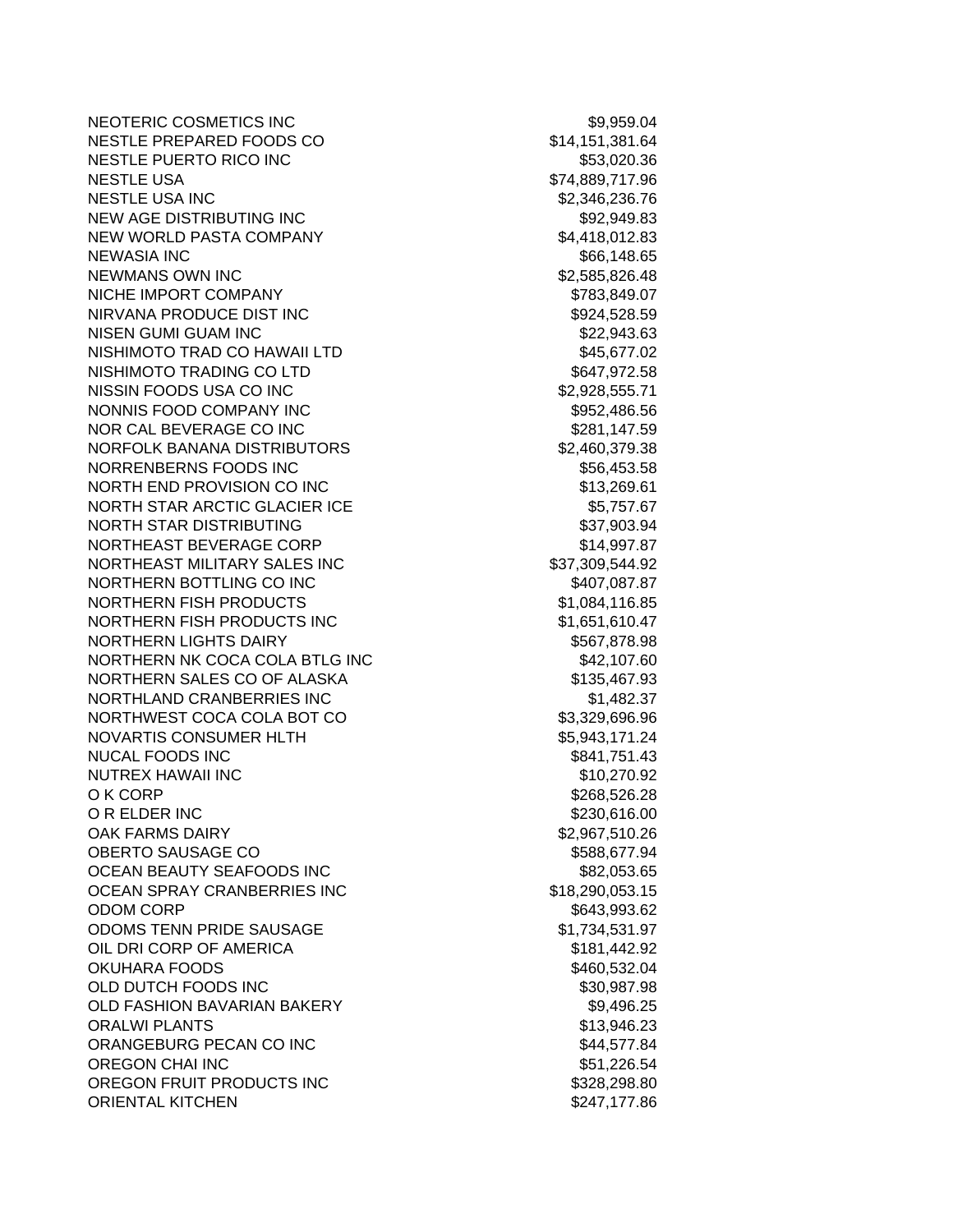NEOTERIC COSMETICS INC<br>
\$9,959.04 NESTLE PREPARED FOODS CO \$14,151,381.64 NESTLE PUERTO RICO INC **\$53,020.36** NESTLE USA \$74,889,717.96 NESTLE USA INC \$2,346,236.76 NEW AGE DISTRIBUTING INC **A SUMPLIFY A SET A SUMPLIFY A SUMPLIFY A** S92,949.83 NEW WORLD PASTA COMPANY 64.418,012.83 NEWASIA INC \$66,148.65 NEWMANS OWN INC 62,585,826.48 NICHE IMPORT COMPANY **\$783,849.07** NIRVANA PRODUCE DIST INC **\$924,528.59** NISEN GUMI GUAM INC \$22,943.63 NISHIMOTO TRAD CO HAWAII LTD \$45,677.02 NISHIMOTO TRADING CO LTD \$647,972.58 NISSIN FOODS USA CO INC \$2,928,555.71 NONNIS FOOD COMPANY INC \$952,486.56 NOR CAL BEVERAGE CO INC \$281,147.59 NORFOLK BANANA DISTRIBUTORS \$2,460,379.38 NORRENBERNS FOODS INC \$56,453.58 NORTH END PROVISION CO INC \$13,269.61 NORTH STAR ARCTIC GLACIER ICE **1998** 55,757.67 NORTH STAR DISTRIBUTING \$37,903.94 NORTHEAST BEVERAGE CORP \$14,997.87 NORTHEAST MILITARY SALES INC \$37,309,544.92 NORTHERN BOTTLING CO INC \$407,087.87 NORTHERN FISH PRODUCTS \$1,084,116.85 NORTHERN FISH PRODUCTS INC \$1,651,610.47 NORTHERN LIGHTS DAIRY **\$567,878.98** NORTHERN NK COCA COLA BTLG INC 642,107.60 NORTHERN SALES CO OF ALASKA \$135,467.93 NORTHLAND CRANBERRIES INC \$1,482.37 NORTHWEST COCA COLA BOT CO \$3,329,696.96 NOVARTIS CONSUMER HLTH \$5,943,171.24 NUCAL FOODS INC \$841,751.43 NUTREX HAWAII INC  $$10,270.92$ O K CORP \$268,526.28 O R ELDER INC \$230,616.00 OAK FARMS DAIRY **\$2,967,510.26** OBERTO SAUSAGE CO \$588,677.94 OCEAN BEAUTY SEAFOODS INC **\$82,053.65** \$82,053.65 OCEAN SPRAY CRANBERRIES INC \$18,290,053.15 ODOM CORP \$643,993.62 ODOMS TENN PRIDE SAUSAGE  $$1,734,531.97$ OIL DRI CORP OF AMERICA \$181,442.92 OKUHARA FOODS \$460,532.04 OLD DUTCH FOODS INC \$30,987.98 OLD FASHION BAVARIAN BAKERY **\$9,496.25** \$9,496.25 ORALWI PLANTS **13,946.23** ORANGEBURG PECAN CO INC 66 100 100 \$44,577.84 OREGON CHAI INC **\$51,226.54** OREGON FRUIT PRODUCTS INC<br>
\$328,298.80 ORIENTAL KITCHEN \$247,177.86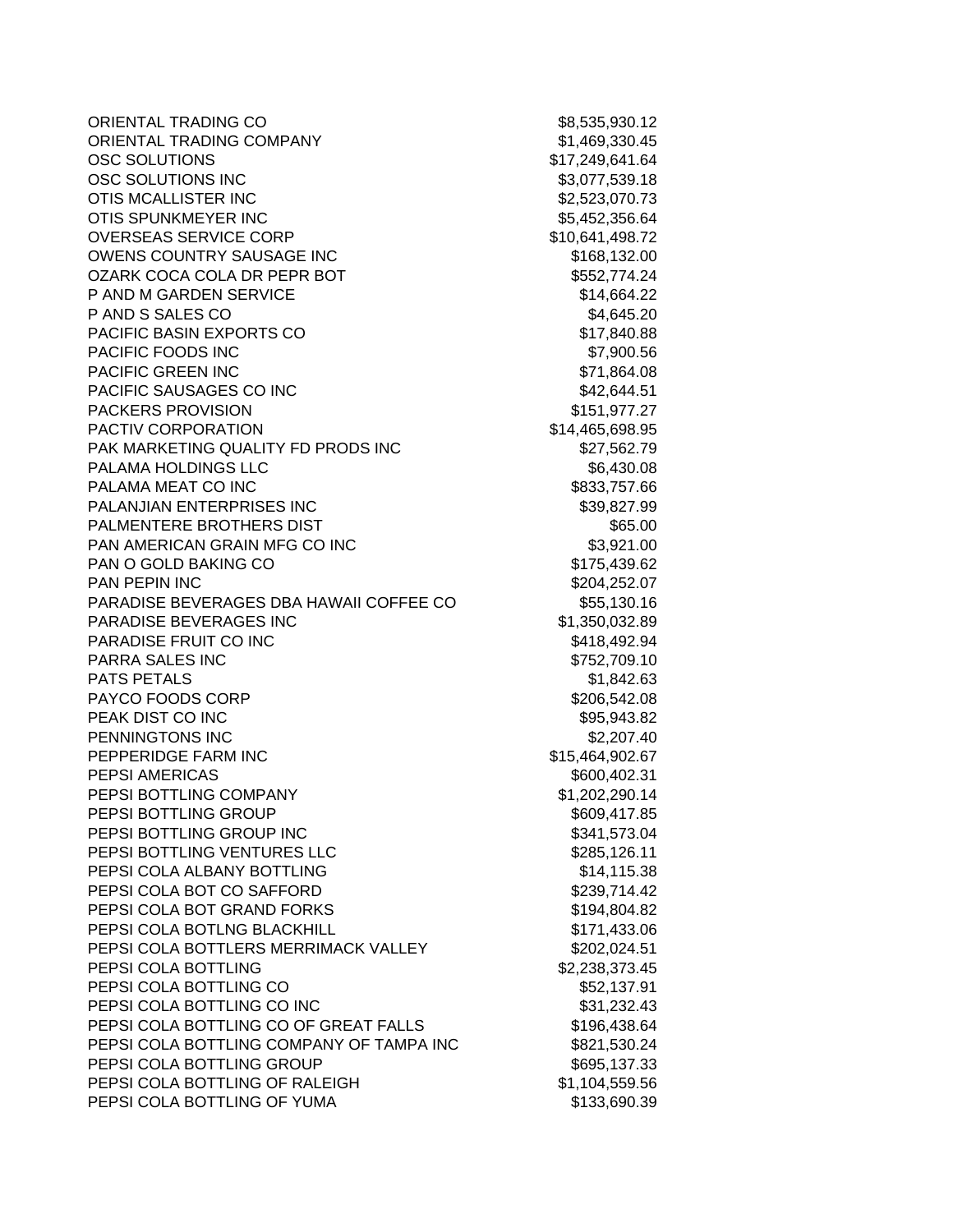ORIENTAL TRADING CO \$8,535,930.12 ORIENTAL TRADING COMPANY 61,469,330.45 OSC SOLUTIONS \$17,249,641.64 OSC SOLUTIONS INC 63,077,539.18 OTIS MCALLISTER INC<br>  $$2,523,070.73$ OTIS SPUNKMEYER INC **\$5,452,356.64** OVERSEAS SERVICE CORP \$10,641,498.72 OWENS COUNTRY SAUSAGE INC<br>
\$168,132.00 OZARK COCA COLA DR PEPR BOT
\$552,774.24 P AND M GARDEN SERVICE \$14,664.22 P AND S SALES CO \$4,645.20 PACIFIC BASIN EXPORTS CO \$17,840.88 PACIFIC FOODS INC 67,900.56 PACIFIC GREEN INC \$71,864.08 PACIFIC SAUSAGES CO INC \$42,644.51 PACKERS PROVISION **\$151,977.27** PACTIV CORPORATION  $$14,465,698.95$ PAK MARKETING QUALITY FD PRODS INC \$27,562.79 PALAMA HOLDINGS LLC \$6,430.08 PALAMA MEAT CO INC **All and Sand Account 10 and Sand Account 10** \$833,757.66 PALANJIAN ENTERPRISES INC \$39,827.99 PALMENTERE BROTHERS DIST NE ANN ANN AN SEALMENTERE BROTHERS DIST PAN AMERICAN GRAIN MFG CO INC **\$3,921.00** PAN O GOLD BAKING CO \$175,439.62 PAN PEPIN INC \$204,252.07 PARADISE BEVERAGES DBA HAWAII COFFEE CO \$55,130.16 PARADISE BEVERAGES INC \$1,350,032.89 PARADISE FRUIT CO INC **Example 20 and Struck 20 and S418,492.94** PARRA SALES INC 6752,709.10 PATS PETALS **S1,842.63** PAYCO FOODS CORP  $$206,542.08$ PEAK DIST CO INC **the set of the set of the set of the set of the set of the set of the set of the set of the set of the set of the set of the set of the set of the set of the set of the set of the set of the set of the se** PENNINGTONS INC \$2,207.40 PEPPERIDGE FARM INC \$15,464,902.67 PEPSI AMERICAS **\$600,402.31** PEPSI BOTTLING COMPANY \$1,202,290.14 PEPSI BOTTLING GROUP \$609,417.85 PEPSI BOTTLING GROUP INC **\$341,573.04** PEPSI BOTTLING VENTURES LLC<br>
\$285,126.11 PEPSI COLA ALBANY BOTTLING **\$14,115.38** PEPSI COLA BOT CO SAFFORD \$239,714.42 PEPSI COLA BOT GRAND FORKS \$194,804.82 PEPSI COLA BOTLNG BLACKHILL **And State Collection State S171,433.06** PEPSI COLA BOTTLERS MERRIMACK VALLEY \$202,024.51 PEPSI COLA BOTTLING \$2,238,373.45 PEPSI COLA BOTTLING CO **\$52,137.91** PEPSI COLA BOTTLING CO INC 631,232.43 PEPSI COLA BOTTLING CO OF GREAT FALLS \$196,438.64 PEPSI COLA BOTTLING COMPANY OF TAMPA INC \$821,530.24 PEPSI COLA BOTTLING GROUP **\$695,137.33** PEPSI COLA BOTTLING OF RALEIGH \$1,104,559.56 PEPSI COLA BOTTLING OF YUMA \$133,690.39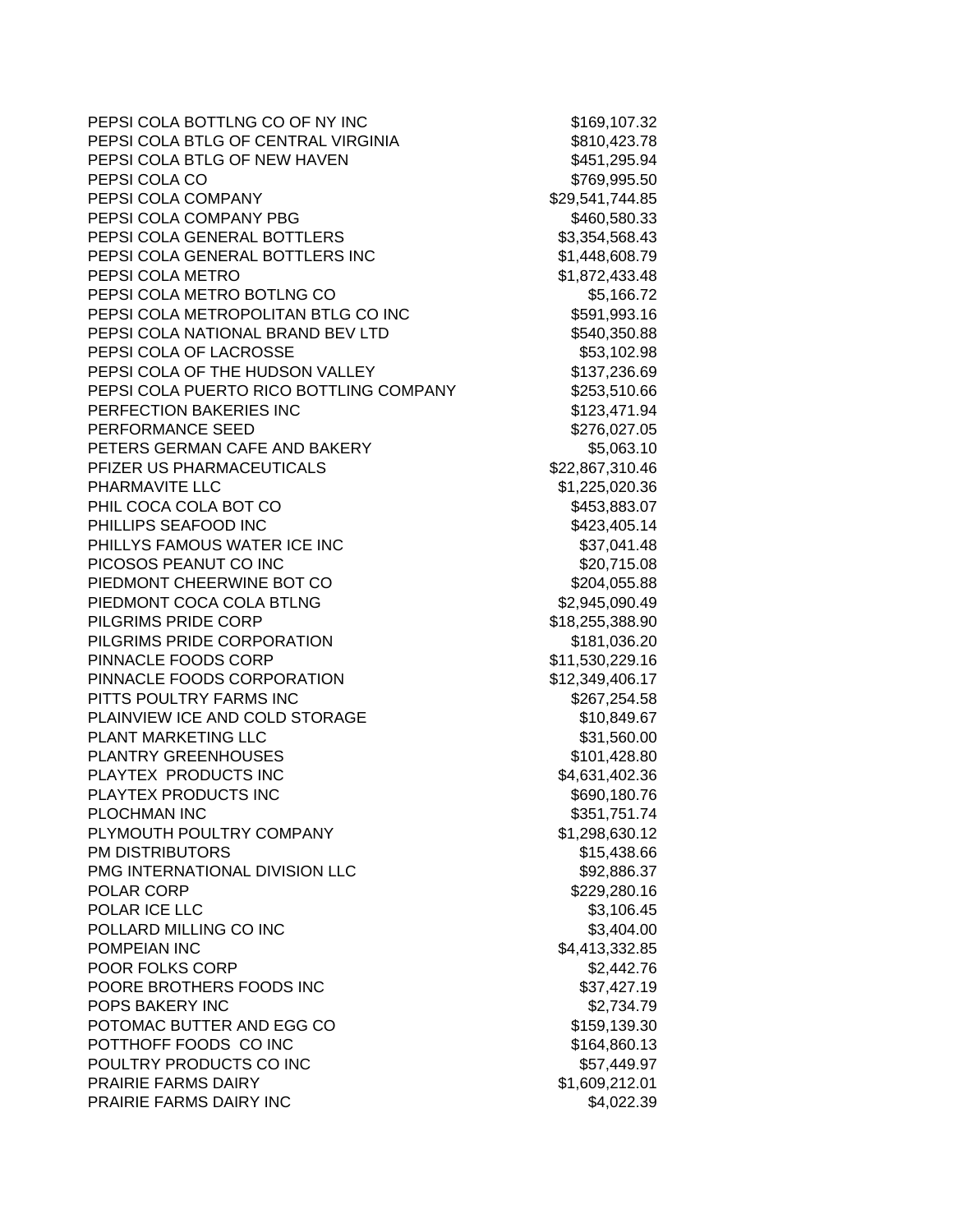| PEPSI COLA BOTTLNG CO OF NY INC         | \$169,107.32    |
|-----------------------------------------|-----------------|
| PEPSI COLA BTLG OF CENTRAL VIRGINIA     | \$810,423.78    |
| PEPSI COLA BTLG OF NEW HAVEN            | \$451,295.94    |
| PEPSI COLA CO                           | \$769,995.50    |
| PEPSI COLA COMPANY                      | \$29,541,744.85 |
| PEPSI COLA COMPANY PBG                  | \$460,580.33    |
| PEPSI COLA GENERAL BOTTLERS             | \$3,354,568.43  |
| PEPSI COLA GENERAL BOTTLERS INC         | \$1,448,608.79  |
| PEPSI COLA METRO                        | \$1,872,433.48  |
| PEPSI COLA METRO BOTLNG CO              | \$5,166.72      |
| PEPSI COLA METROPOLITAN BTLG CO INC     | \$591,993.16    |
| PEPSI COLA NATIONAL BRAND BEV LTD       | \$540,350.88    |
| PEPSI COLA OF LACROSSE                  | \$53,102.98     |
| PEPSI COLA OF THE HUDSON VALLEY         | \$137,236.69    |
| PEPSI COLA PUERTO RICO BOTTLING COMPANY | \$253,510.66    |
| PERFECTION BAKERIES INC                 | \$123,471.94    |
| PERFORMANCE SEED                        | \$276,027.05    |
| PETERS GERMAN CAFE AND BAKERY           | \$5,063.10      |
| PFIZER US PHARMACEUTICALS               | \$22,867,310.46 |
| PHARMAVITE LLC                          | \$1,225,020.36  |
| PHIL COCA COLA BOT CO                   | \$453,883.07    |
| PHILLIPS SEAFOOD INC                    | \$423,405.14    |
| PHILLYS FAMOUS WATER ICE INC            | \$37,041.48     |
| PICOSOS PEANUT CO INC                   | \$20,715.08     |
| PIEDMONT CHEERWINE BOT CO               | \$204,055.88    |
| PIEDMONT COCA COLA BTLNG                | \$2,945,090.49  |
| PILGRIMS PRIDE CORP                     | \$18,255,388.90 |
| PILGRIMS PRIDE CORPORATION              | \$181,036.20    |
| PINNACLE FOODS CORP                     | \$11,530,229.16 |
| PINNACLE FOODS CORPORATION              | \$12,349,406.17 |
| PITTS POULTRY FARMS INC                 | \$267,254.58    |
| PLAINVIEW ICE AND COLD STORAGE          | \$10,849.67     |
| PLANT MARKETING LLC                     | \$31,560.00     |
| <b>PLANTRY GREENHOUSES</b>              | \$101,428.80    |
| PLAYTEX PRODUCTS INC                    | \$4,631,402.36  |
| PLAYTEX PRODUCTS INC                    | \$690,180.76    |
| <b>PLOCHMAN INC</b>                     | \$351,751.74    |
| PLYMOUTH POULTRY COMPANY                | \$1,298,630.12  |
| <b>PM DISTRIBUTORS</b>                  | \$15,438.66     |
| PMG INTERNATIONAL DIVISION LLC          | \$92,886.37     |
| POLAR CORP                              | \$229,280.16    |
| POLAR ICE LLC                           | \$3,106.45      |
| POLLARD MILLING CO INC                  | \$3,404.00      |
| POMPEIAN INC                            | \$4,413,332.85  |
| POOR FOLKS CORP                         | \$2,442.76      |
| POORE BROTHERS FOODS INC                | \$37,427.19     |
| POPS BAKERY INC                         | \$2,734.79      |
| POTOMAC BUTTER AND EGG CO               | \$159,139.30    |
| POTTHOFF FOODS CO INC                   | \$164,860.13    |
| POULTRY PRODUCTS CO INC                 | \$57,449.97     |
| <b>PRAIRIE FARMS DAIRY</b>              | \$1,609,212.01  |
| PRAIRIE FARMS DAIRY INC                 | \$4,022.39      |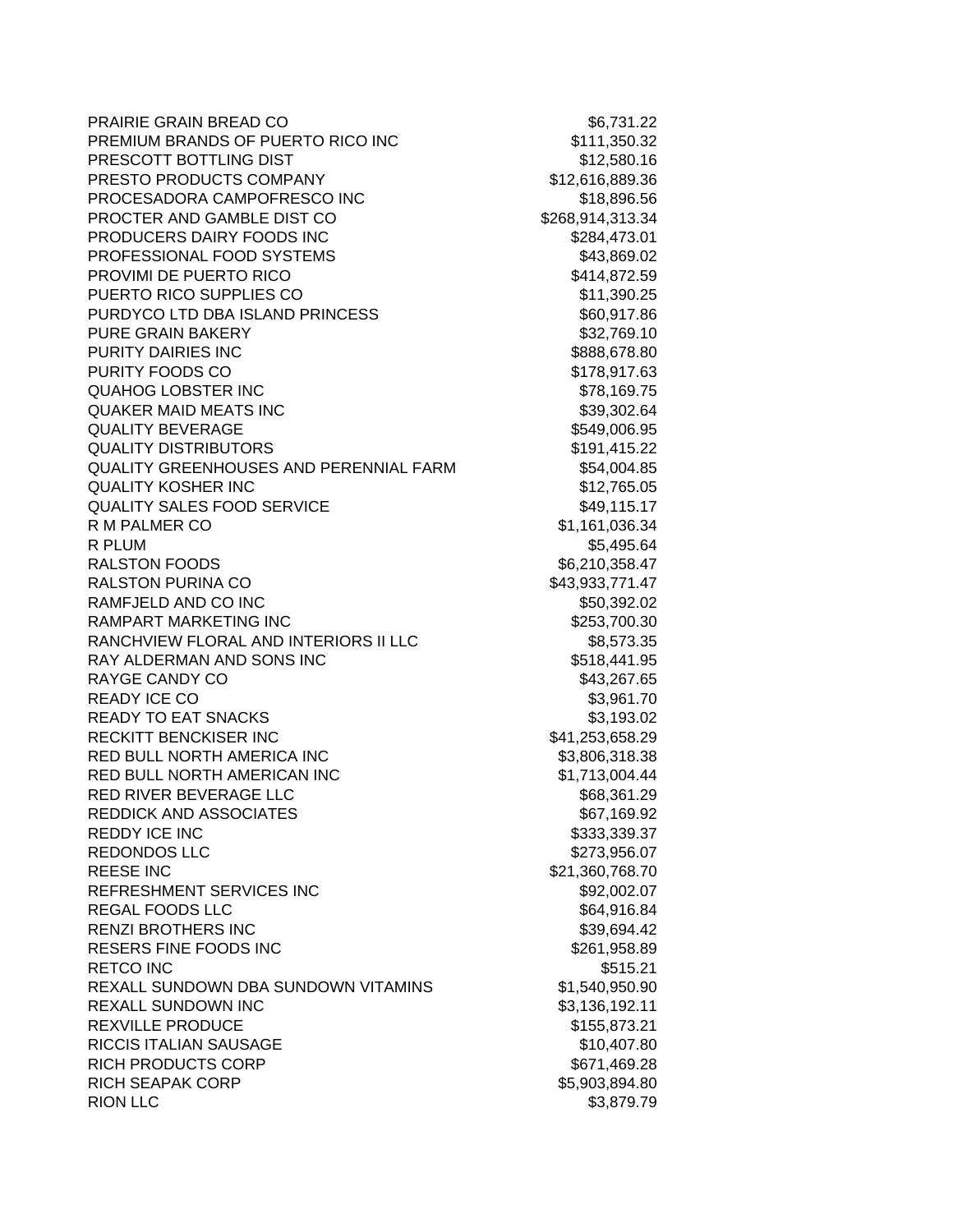PRAIRIE GRAIN BREAD CO \$6,731.22 PREMIUM BRANDS OF PUERTO RICO INC **\$111,350.32** PRESCOTT BOTTLING DIST **\$12,580.16** PRESTO PRODUCTS COMPANY \$12,616,889.36 PROCESADORA CAMPOFRESCO INC 6718,896.56 PROCTER AND GAMBLE DIST CO \$268,914,313.34 PRODUCERS DAIRY FOODS INC 6284,473.01 PROFESSIONAL FOOD SYSTEMS \$43,869.02 PROVIMI DE PUERTO RICO **\$414,872.59** PUERTO RICO SUPPLIES CO \$11,390.25 PURDYCO LTD DBA ISLAND PRINCESS \$60,917.86 PURE GRAIN BAKERY \$32,769.10 PURITY DAIRIES INC **\$888,678.80** PURITY FOODS CO **\$178,917.63** QUAHOG LOBSTER INC \$78,169.75 QUAKER MAID MEATS INC \$39,302.64 QUALITY BEVERAGE **\$549,006.95** \$549,006.95 QUALITY DISTRIBUTORS \$191,415.22 QUALITY GREENHOUSES AND PERENNIAL FARM \$54,004.85 QUALITY KOSHER INC **\$12,765.05** QUALITY SALES FOOD SERVICE **\$49,115.17** R M PALMER CO \$1,161,036.34 R PLUM \$5,495.64 RALSTON FOODS \$6,210,358.47 RALSTON PURINA CO \$43,933,771.47 RAMFJELD AND CO INC 650,392.02 RAMPART MARKETING INC **\$253,700.30** RANCHVIEW FLORAL AND INTERIORS II LLC \$8,573.35 RAY ALDERMAN AND SONS INC 6518,441.95 RAYGE CANDY CO **\$43,267.65** READY ICE CO **\$3,961.70** READY TO EAT SNACKS \$3,193.02 RECKITT BENCKISER INC \$41,253,658.29 RED BULL NORTH AMERICA INC **\$3,806,318.38** RED BULL NORTH AMERICAN INC \$1,713,004.44 RED RIVER BEVERAGE LLC \$68,361.29 REDDICK AND ASSOCIATES \$67,169.92 REDDY ICE INC \$333,339.37 REDONDOS LLC \$273,956.07 REESE INC 68.70 21,360,768.70 REFRESHMENT SERVICES INC **\$92,002.07** REGAL FOODS LLC \$64,916.84 RENZI BROTHERS INC \$39,694.42 RESERS FINE FOODS INC \$261,958.89 RETCO INC 6515.21 REXALL SUNDOWN DBA SUNDOWN VITAMINS \$1,540,950.90 REXALL SUNDOWN INC \$3,136,192.11 REXVILLE PRODUCE **\$155,873.21** RICCIS ITALIAN SAUSAGE \$10,407.80 RICH PRODUCTS CORP \$671,469.28 RICH SEAPAK CORP \$5,903,894.80 RION LLC \$3,879.79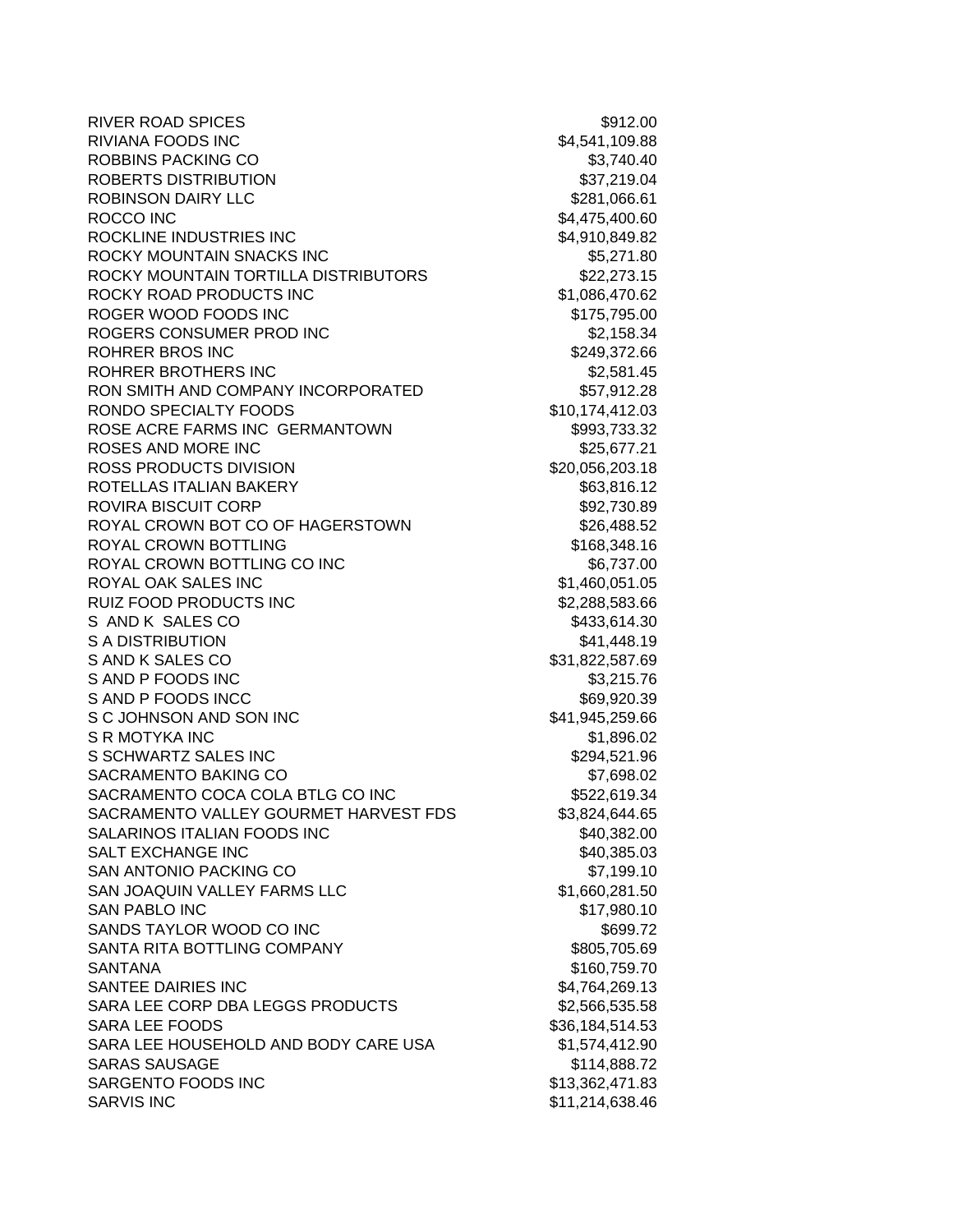| <b>RIVER ROAD SPICES</b>              | \$912.00        |
|---------------------------------------|-----------------|
| <b>RIVIANA FOODS INC</b>              | \$4,541,109.88  |
| ROBBINS PACKING CO                    | \$3,740.40      |
| ROBERTS DISTRIBUTION                  | \$37,219.04     |
| <b>ROBINSON DAIRY LLC</b>             | \$281,066.61    |
| ROCCO INC                             | \$4,475,400.60  |
| ROCKLINE INDUSTRIES INC               | \$4,910,849.82  |
| ROCKY MOUNTAIN SNACKS INC             | \$5,271.80      |
| ROCKY MOUNTAIN TORTILLA DISTRIBUTORS  | \$22,273.15     |
| ROCKY ROAD PRODUCTS INC               | \$1,086,470.62  |
| ROGER WOOD FOODS INC                  | \$175,795.00    |
| ROGERS CONSUMER PROD INC              | \$2,158.34      |
| <b>ROHRER BROS INC</b>                | \$249,372.66    |
| ROHRER BROTHERS INC                   | \$2,581.45      |
| RON SMITH AND COMPANY INCORPORATED    | \$57,912.28     |
| RONDO SPECIALTY FOODS                 | \$10,174,412.03 |
| ROSE ACRE FARMS INC GERMANTOWN        | \$993,733.32    |
| <b>ROSES AND MORE INC</b>             | \$25,677.21     |
| ROSS PRODUCTS DIVISION                | \$20,056,203.18 |
| ROTELLAS ITALIAN BAKERY               | \$63,816.12     |
| <b>ROVIRA BISCUIT CORP</b>            | \$92,730.89     |
| ROYAL CROWN BOT CO OF HAGERSTOWN      | \$26,488.52     |
| <b>ROYAL CROWN BOTTLING</b>           | \$168,348.16    |
| ROYAL CROWN BOTTLING CO INC           | \$6,737.00      |
| ROYAL OAK SALES INC                   | \$1,460,051.05  |
| RUIZ FOOD PRODUCTS INC                | \$2,288,583.66  |
| S AND K SALES CO                      | \$433,614.30    |
| S A DISTRIBUTION                      | \$41,448.19     |
| S AND K SALES CO                      | \$31,822,587.69 |
| S AND P FOODS INC                     | \$3,215.76      |
| S AND P FOODS INCC                    | \$69,920.39     |
| S C JOHNSON AND SON INC               | \$41,945,259.66 |
| S R MOTYKA INC                        | \$1,896.02      |
| S SCHWARTZ SALES INC                  | \$294,521.96    |
| SACRAMENTO BAKING CO                  | \$7,698.02      |
| SACRAMENTO COCA COLA BTLG CO INC      | \$522,619.34    |
| SACRAMENTO VALLEY GOURMET HARVEST FDS | \$3,824,644.65  |
| SALARINOS ITALIAN FOODS INC           | \$40,382.00     |
| <b>SALT EXCHANGE INC</b>              | \$40,385.03     |
| <b>SAN ANTONIO PACKING CO</b>         | \$7,199.10      |
| SAN JOAQUIN VALLEY FARMS LLC          | \$1,660,281.50  |
| <b>SAN PABLO INC</b>                  | \$17,980.10     |
| SANDS TAYLOR WOOD CO INC              | \$699.72        |
| SANTA RITA BOTTLING COMPANY           | \$805,705.69    |
| <b>SANTANA</b>                        | \$160,759.70    |
| SANTEE DAIRIES INC                    | \$4,764,269.13  |
| SARA LEE CORP DBA LEGGS PRODUCTS      | \$2,566,535.58  |
| <b>SARA LEE FOODS</b>                 | \$36,184,514.53 |
| SARA LEE HOUSEHOLD AND BODY CARE USA  | \$1,574,412.90  |
| <b>SARAS SAUSAGE</b>                  | \$114,888.72    |
| SARGENTO FOODS INC                    | \$13,362,471.83 |
| <b>SARVIS INC</b>                     | \$11,214,638.46 |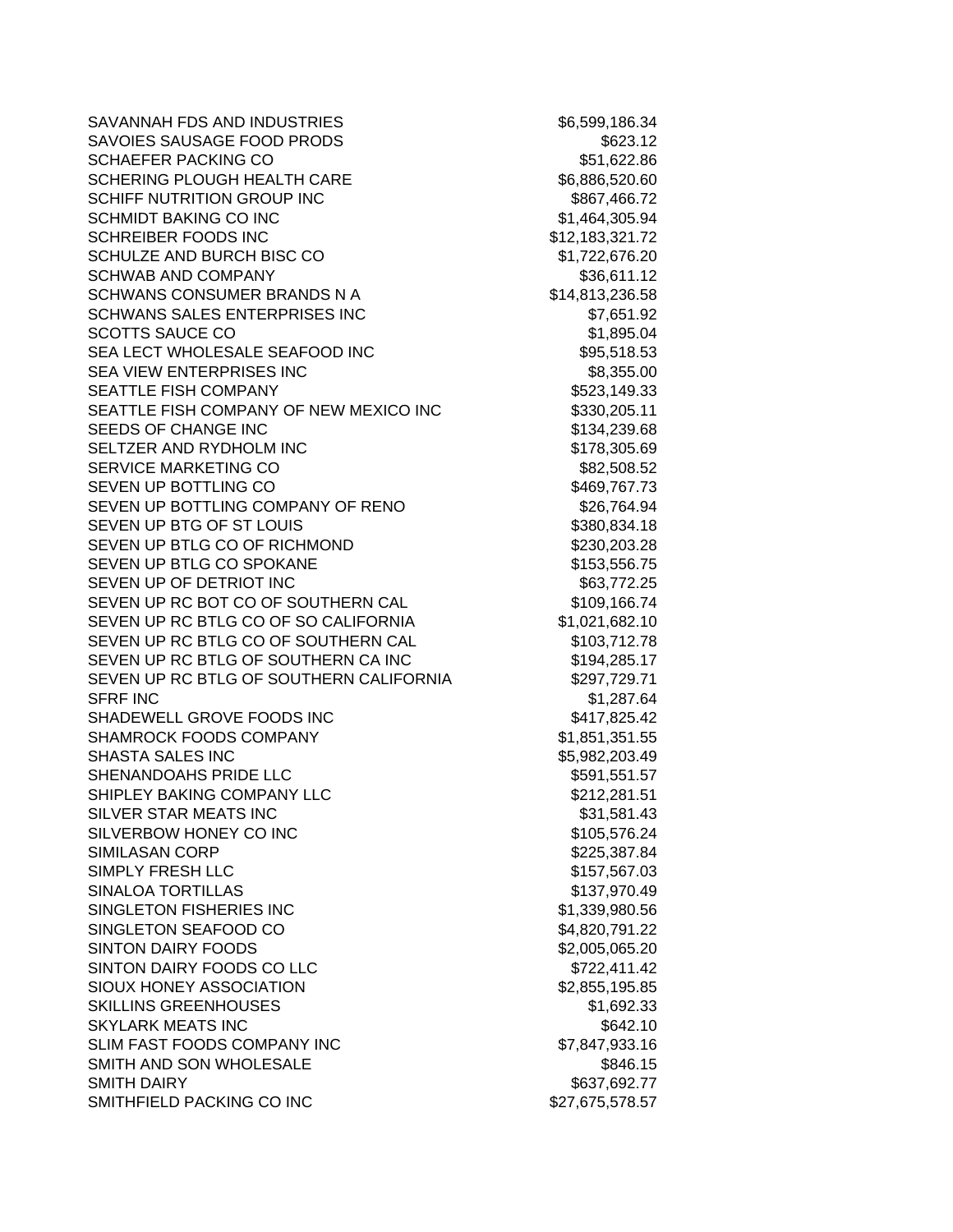SAVANNAH FDS AND INDUSTRIES \$6,599,186.34 SAVOIES SAUSAGE FOOD PRODS \$623.12 SCHAEFER PACKING CO **\$51,622.86** SCHERING PLOUGH HEALTH CARE \$6,886,520.60 SCHIFF NUTRITION GROUP INC **\$867,466.72** SCHMIDT BAKING CO INC \$1,464,305.94 SCHREIBER FOODS INC \$12,183,321.72 SCHULZE AND BURCH BISC CO \$1,722,676.20 SCHWAB AND COMPANY **\$36,611.12** SCHWANS CONSUMER BRANDS N A \$14,813,236.58 SCHWANS SALES ENTERPRISES INC  $$7,651.92$ SCOTTS SAUCE CO **\$1,895.04** SEA LECT WHOLESALE SEAFOOD INC \$95,518.53 SEA VIEW ENTERPRISES INC **SEAM** \$8,355.00 SEATTLE FISH COMPANY **SEATTLE** FISH COMPANY SEATTLE FISH COMPANY OF NEW MEXICO INC \$330,205.11 SEEDS OF CHANGE INC \$134,239.68 SELTZER AND RYDHOLM INC \$178,305.69 SERVICE MARKETING CO **\$82,508.52** SEVEN UP BOTTLING CO **\$469,767.73** SEVEN UP BOTTLING COMPANY OF RENO \$26,764.94 SEVEN UP BTG OF ST LOUIS \$380,834.18 SEVEN UP BTLG CO OF RICHMOND \$230,203.28 SEVEN UP BTLG CO SPOKANE \$153,556.75 SEVEN UP OF DETRIOT INC **\$63,772.25** SEVEN UP RC BOT CO OF SOUTHERN CAL \$109,166.74 SEVEN UP RC BTLG CO OF SO CALIFORNIA  $$1,021,682.10$ SEVEN UP RC BTLG CO OF SOUTHERN CAL \$103,712.78 SEVEN UP RC BTLG OF SOUTHERN CA INC \$194,285.17 SEVEN UP RC BTLG OF SOUTHERN CALIFORNIA \$297,729.71 SFRF INC \$1,287.64 SHADEWELL GROVE FOODS INC **\$417,825.42** SHAMROCK FOODS COMPANY **1992 1201 51,851,351.55** SHASTA SALES INC \$5,982,203.49 SHENANDOAHS PRIDE LLC \$591,551.57 SHIPLEY BAKING COMPANY LLC<br>\$212,281.51 SILVER STAR MEATS INC **\$31,581.43** SILVERBOW HONEY CO INC \$105,576.24 SIMILASAN CORP \$225,387.84 SIMPLY FRESH LLC **\$157,567.03** SINALOA TORTILLAS \$137,970.49 SINGLETON FISHERIES INC \$1,339,980.56 SINGLETON SEAFOOD CO \$4,820,791.22 SINTON DAIRY FOODS \$2,005,065.20 SINTON DAIRY FOODS CO LLC \$722,411.42 SIOUX HONEY ASSOCIATION \$2,855,195.85 SKILLINS GREENHOUSES \$1,692.33 SKYLARK MEATS INC **\$642.10** \$642.10 SLIM FAST FOODS COMPANY INC 67,847,933.16 SMITH AND SON WHOLESALE **\$846.15** SMITH DAIRY **\$637,692.77** SMITHFIELD PACKING CO INC \$27,675,578.57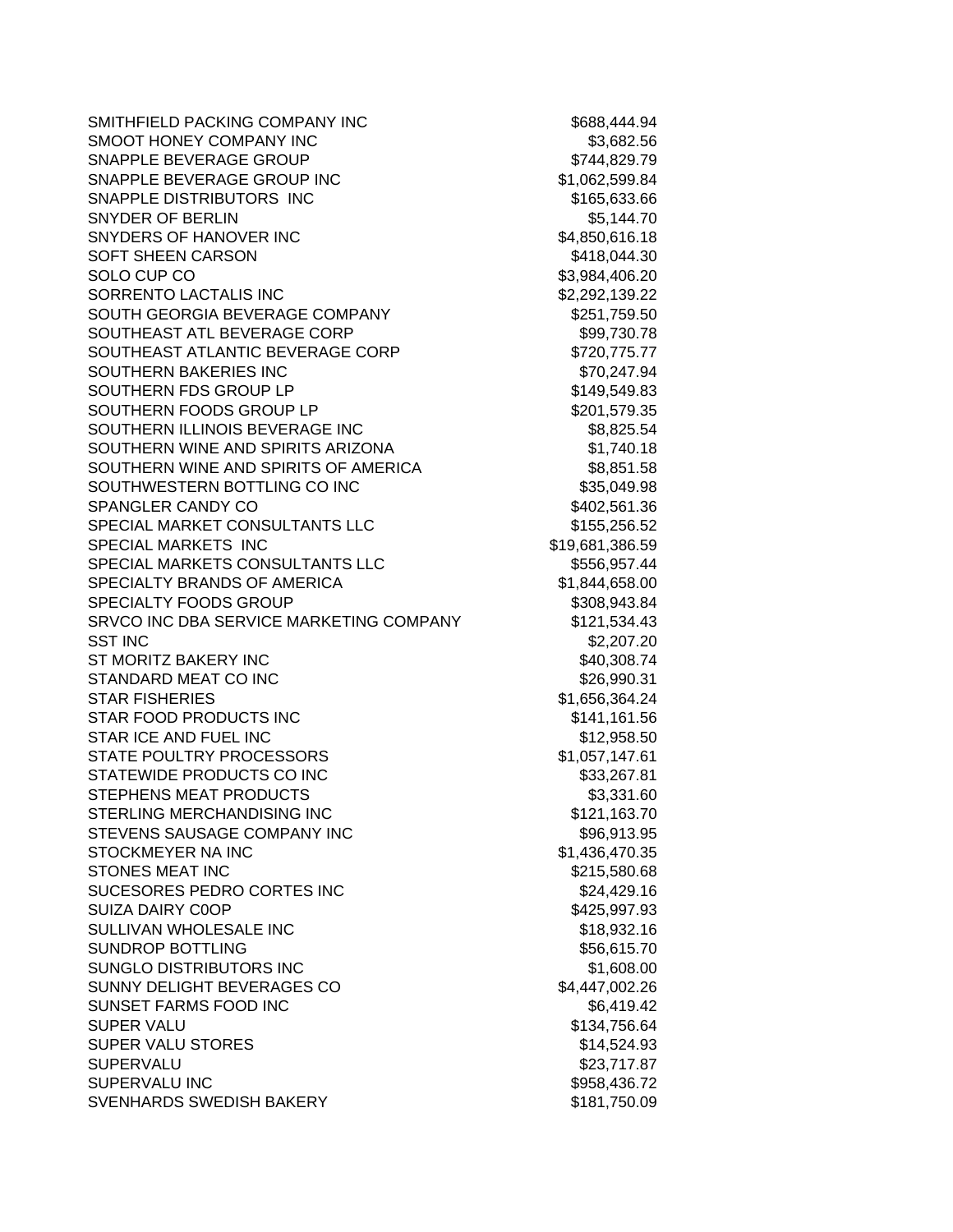SMITHFIELD PACKING COMPANY INC \$688,444.94 SMOOT HONEY COMPANY INC \$3,682.56 SNAPPLE BEVERAGE GROUP **\$744,829.79** SNAPPLE BEVERAGE GROUP INC \$1,062,599.84 SNAPPLE DISTRIBUTORS INC \$165,633.66 SNYDER OF BERLIN \$5,144.70 SNYDERS OF HANOVER INC<br>
\$4,850,616.18 SOFT SHEEN CARSON \$418,044.30 SOLO CUP CO \$3,984,406.20 SORRENTO LACTALIS INC<br>
S2,292,139.22 SOUTH GEORGIA BEVERAGE COMPANY **\$251,759.50** SOUTHEAST ATL BEVERAGE CORP \$99,730.78 SOUTHEAST ATLANTIC BEVERAGE CORP \$720,775.77 SOUTHERN BAKERIES INC \$70,247.94 SOUTHERN FDS GROUP LP \$149.549.83 SOUTHERN FOODS GROUP LP \$201,579.35 SOUTHERN ILLINOIS BEVERAGE INC **\$8,825.54** SOUTHERN WINE AND SPIRITS ARIZONA \$1,740.18 SOUTHERN WINE AND SPIRITS OF AMERICA \$8,851.58 SOUTHWESTERN BOTTLING CO INC \$35,049.98 SPANGLER CANDY CO \$402,561.36 SPECIAL MARKET CONSULTANTS LLC  $$155,256.52$ SPECIAL MARKETS INC \$19,681,386.59 SPECIAL MARKETS CONSULTANTS LLC \$556,957.44 SPECIALTY BRANDS OF AMERICA \$1,844,658.00 SPECIALTY FOODS GROUP \$308,943.84 SRVCO INC DBA SERVICE MARKETING COMPANY \$121,534.43 SST INC \$2,207.20 ST MORITZ BAKERY INC **\$40,308.74** STANDARD MEAT CO INC **\$26,990.31** STAR FISHERIES \$1,656,364.24 STAR FOOD PRODUCTS INC \$141,161.56 STAR ICE AND FUEL INC **\$12,958.50** STATE POULTRY PROCESSORS \$1,057,147.61 STATEWIDE PRODUCTS CO INC \$33,267.81 STEPHENS MEAT PRODUCTS \$3,331.60 STERLING MERCHANDISING INC<br>
\$121,163.70 STEVENS SAUSAGE COMPANY INC  $$96.913.95$ STOCKMEYER NA INC \$1,436,470.35 STONES MEAT INC 60 and the state of the state of the state of the state of the state of the state of the state of the state of the state of the state of the state of the state of the state of the state of the state of the SUCESORES PEDRO CORTES INC<br>\$24,429.16 SUIZA DAIRY COOP **\$425,997.93** SULLIVAN WHOLESALE INC **\$18,932.16** SUNDROP BOTTLING \$56,615.70 SUNGLO DISTRIBUTORS INC \$1,608.00 SUNNY DELIGHT BEVERAGES CO \$4,447,002.26 SUNSET FARMS FOOD INC \$6,419.42 SUPER VALU **\$134,756.64** SUPER VALU STORES \$14,524.93 SUPERVALU \$23,717.87 SUPERVALU INC \$958,436.72 SVENHARDS SWEDISH BAKERY \$181,750.09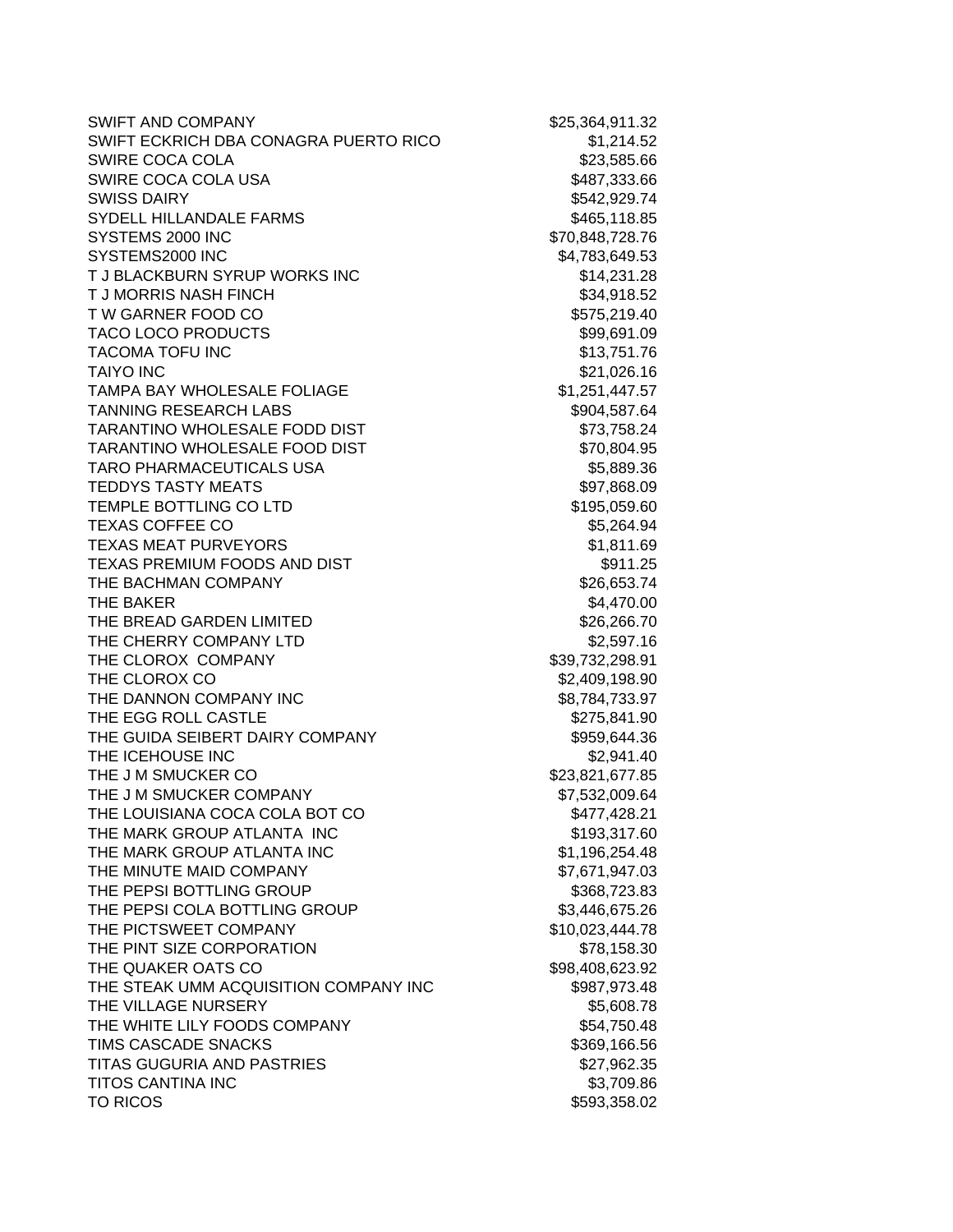SWIFT AND COMPANY \$25,364,911.32 SWIFT ECKRICH DBA CONAGRA PUERTO RICO \$1,214.52 SWIRE COCA COLA \$23,585.66 SWIRE COCA COLA USA \$487,333.66 SWISS DAIRY **\$542,929.74** SYDELL HILLANDALE FARMS \$465,118.85 SYSTEMS 2000 INC \$70,848,728.76 SYSTEMS2000 INC \$4,783,649.53 T J BLACKBURN SYRUP WORKS INC \$14,231.28 T J MORRIS NASH FINCH **\$34,918.52** T W GARNER FOOD CO **\$575,219.40** TACO LOCO PRODUCTS \$99,691.09 TACOMA TOFU INC 6.1 AND TACOMA TO THE SERIES OF LIGHT AND TACOMA TO THE STATE OF LIGHT AND STATE STATES OF LIG TAIYO INC 621,026.16 TAMPA BAY WHOLESALE FOLIAGE  $$1,251,447.57$ TANNING RESEARCH LABS \$904,587.64 TARANTINO WHOLESALE FODD DIST **\$73,758.24** TARANTINO WHOLESALE FOOD DIST \$70,804.95 TARO PHARMACEUTICALS USA \$5,889.36 TEDDYS TASTY MEATS **\$97,868.09** \$97,868.09 TEMPLE BOTTLING CO LTD \$195,059.60 TEXAS COFFEE CO \$5,264.94 TEXAS MEAT PURVEYORS \$1,811.69 TEXAS PREMIUM FOODS AND DIST **And CONTACT SETS** \$911.25 THE BACHMAN COMPANY **\$26,653.74** THE BAKER \$4,470.00 THE BREAD GARDEN LIMITED \$26,266.70 THE CHERRY COMPANY LTD \$2,597.16 THE CLOROX COMPANY \$39,732,298.91 THE CLOROX CO **\$2,409,198.90** THE DANNON COMPANY INC \$8,784,733.97 THE EGG ROLL CASTLE **\$275,841.90** THE GUIDA SEIBERT DAIRY COMPANY 6959,644.36 THE ICEHOUSE INC **the set of the set of the set of the set of the set of the set of the set of the set of the set of the set of the set of the set of the set of the set of the set of the set of the set of the set of the se** THE J M SMUCKER CO **\$23,821,677.85** THE J M SMUCKER COMPANY \$7,532,009.64 THE LOUISIANA COCA COLA BOT CO **\$477,428.21** THE MARK GROUP ATLANTA INC<br>
\$193,317.60 THE MARK GROUP ATLANTA INC<br>  $$1,196,254.48$ THE MINUTE MAID COMPANY **1998 \$7,671,947.03** THE PEPSI BOTTLING GROUP **\$368,723.83** THE PEPSI COLA BOTTLING GROUP \$3,446,675.26 THE PICTSWEET COMPANY \$10,023,444.78 THE PINT SIZE CORPORATION 678.158.30 THE QUAKER OATS CO \$98,408,623.92 THE STEAK UMM ACQUISITION COMPANY INC  $$987,973.48$ THE VILLAGE NURSERY \$5,608.78 THE WHITE LILY FOODS COMPANY **1998** 554,750.48 TIMS CASCADE SNACKS \$369,166.56 TITAS GUGURIA AND PASTRIES \$27,962.35 TITOS CANTINA INC **\$3,709.86** TO RICOS \$593,358.02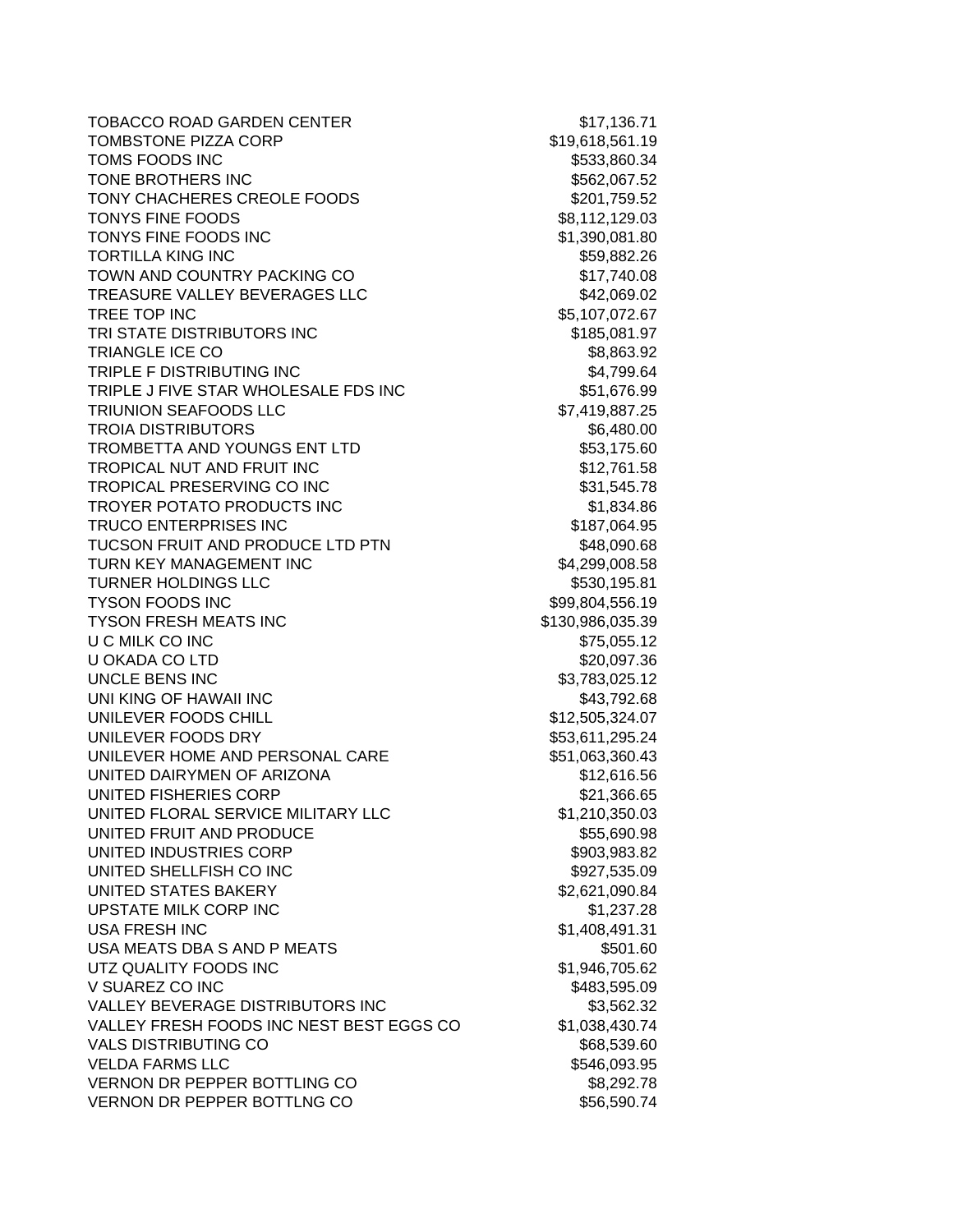TOBACCO ROAD GARDEN CENTER \$17,136.71 TOMBSTONE PIZZA CORP \$19,618,561.19 TOMS FOODS INC 6533,860.34 TONE BROTHERS INC<br>\$562,067.52 TONY CHACHERES CREOLE FOODS \$201,759.52 TONYS FINE FOODS \$8,112,129.03 TONYS FINE FOODS INC \$1,390,081.80 TORTILLA KING INC **\$59,882.26** TOWN AND COUNTRY PACKING CO \$17,740.08 TREASURE VALLEY BEVERAGES LLC \$42,069.02 TREE TOP INC 65,107,072.67 TRI STATE DISTRIBUTORS INC<br>
\$185,081.97 TRIANGLE ICE CO \$8,863.92 TRIPLE F DISTRIBUTING INC \$4,799.64 TRIPLE J FIVE STAR WHOLESALE FDS INC \$51,676.99 TRIUNION SEAFOODS LLC \$7,419,887.25 TROIA DISTRIBUTORS **\$6,480.00** TROMBETTA AND YOUNGS ENT LTD \$53,175.60 TROPICAL NUT AND FRUIT INC \$12.761.58 TROPICAL PRESERVING CO INC \$31,545.78 TROYER POTATO PRODUCTS INC<br>
\$1,834.86 TRUCO ENTERPRISES INC \$187,064.95 TUCSON FRUIT AND PRODUCE LTD PTN \$48,090.68 TURN KEY MANAGEMENT INC \$4,299,008.58 TURNER HOLDINGS LLC \$530,195.81 TYSON FOODS INC \$99,804,556.19 TYSON FRESH MEATS INC \$130,986,035.39 U C MILK CO INC **600 CM** 200 CM 200 CM 200 CM 375,055.12 U OKADA CO LTD \$20,097.36 UNCLE BENS INC 63,783,025.12 UNI KING OF HAWAII INC **\$43,792.68** UNILEVER FOODS CHILL \$12,505,324.07 UNILEVER FOODS DRY \$53,611,295.24 UNILEVER HOME AND PERSONAL CARE \$51,063,360.43 UNITED DAIRYMEN OF ARIZONA \$12,616.56 UNITED FISHERIES CORP \$21,366.65 UNITED FLORAL SERVICE MILITARY LLC \$1,210,350.03 UNITED FRUIT AND PRODUCE SEE ALL AND SSS,690.98 UNITED INDUSTRIES CORP \$903,983.82 UNITED SHELLFISH CO INC \$927,535.09 UNITED STATES BAKERY \$2,621,090.84 UPSTATE MILK CORP INC **\$1,237.28** USA FRESH INC \$1,408,491.31 USA MEATS DBA S AND P MEATS  $$501.60$ UTZ QUALITY FOODS INC \$1,946,705.62 V SUAREZ CO INC  $$483,595.09$ VALLEY BEVERAGE DISTRIBUTORS INC \$3,562.32 VALLEY FRESH FOODS INC NEST BEST EGGS CO \$1,038,430.74 VALS DISTRIBUTING CO \$68,539.60 VELDA FARMS LLC \$546,093.95 VERNON DR PEPPER BOTTLING CO \$8,292.78 VERNON DR PEPPER BOTTLNG CO<br>
\$56,590.74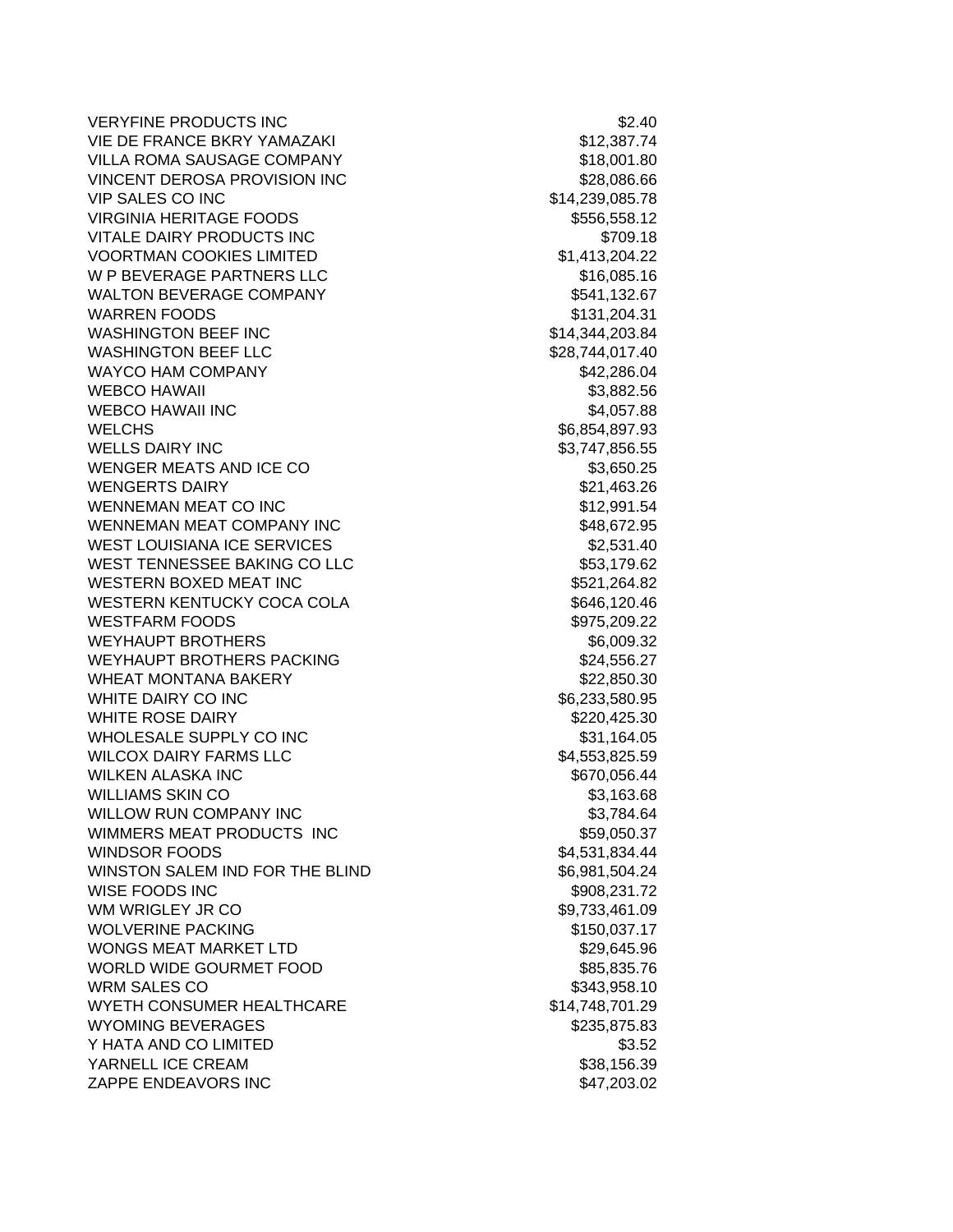VERYFINE PRODUCTS INC **\$2.40** VIE DE FRANCE BKRY YAMAZAKI \$12,387.74 VILLA ROMA SAUSAGE COMPANY 618,001.80 VINCENT DEROSA PROVISION INC<br>
\$28,086.66 VIP SALES CO INC \$14,239,085.78 VIRGINIA HERITAGE FOODS \$556,558.12 VITALE DAIRY PRODUCTS INC **\$709.18** VOORTMAN COOKIES LIMITED \$1,413,204.22 W P BEVERAGE PARTNERS LLC \$16,085.16 WALTON BEVERAGE COMPANY **\$541,132.67** WARREN FOODS \$131,204.31 WASHINGTON BEEF INC \$14,344,203.84 WASHINGTON BEEF LLC \$28,744,017.40 WAYCO HAM COMPANY **\$42,286.04** WEBCO HAWAII 53,882.56 WEBCO HAWAII INC 64,057.88 WELCHS 36,854,897.93 WELLS DAIRY INC \$3,747,856.55 WENGER MEATS AND ICE CO \$3,650.25 WENGERTS DAIRY **\$21,463.26** WENNEMAN MEAT CO INC \$12,991.54 WENNEMAN MEAT COMPANY INC 648,672.95 WEST LOUISIANA ICE SERVICES \$2,531.40 WEST TENNESSEE BAKING CO LLC \$53,179.62 WESTERN BOXED MEAT INC \$521,264.82 WESTERN KENTUCKY COCA COLA 6646,120.46 WESTFARM FOODS \$975,209.22 WEYHAUPT BROTHERS \$6,009.32 WEYHAUPT BROTHERS PACKING **\$24,556.27** WHEAT MONTANA BAKERY **\$22,850.30** WHITE DAIRY CO INC 6.233,580.95 WHITE ROSE DAIRY **\$220,425.30** WHOLESALE SUPPLY CO INC **\$31,164.05** WILCOX DAIRY FARMS LLC \$4,553,825.59 WILKEN ALASKA INC **\$670,056.44** WILLIAMS SKIN CO **\$3,163.68** WILLOW RUN COMPANY INC \$3,784.64 WIMMERS MEAT PRODUCTS INC **\$59,050.37** WINDSOR FOODS \$4,531,834.44 WINSTON SALEM IND FOR THE BLIND \$6,981,504.24 WISE FOODS INC \$908,231.72 WM WRIGLEY JR CO \$9.733,461.09 WOLVERINE PACKING **\$150,037.17** WONGS MEAT MARKET LTD \$29.645.96 WORLD WIDE GOURMET FOOD \$85,835.76 WRM SALES CO \$343,958.10 WYETH CONSUMER HEALTHCARE \$14,748,701.29 WYOMING BEVERAGES \$235,875.83 Y HATA AND CO LIMITED S3.52 YARNELL ICE CREAM  $$38,156.39$ ZAPPE ENDEAVORS INC \$47,203.02